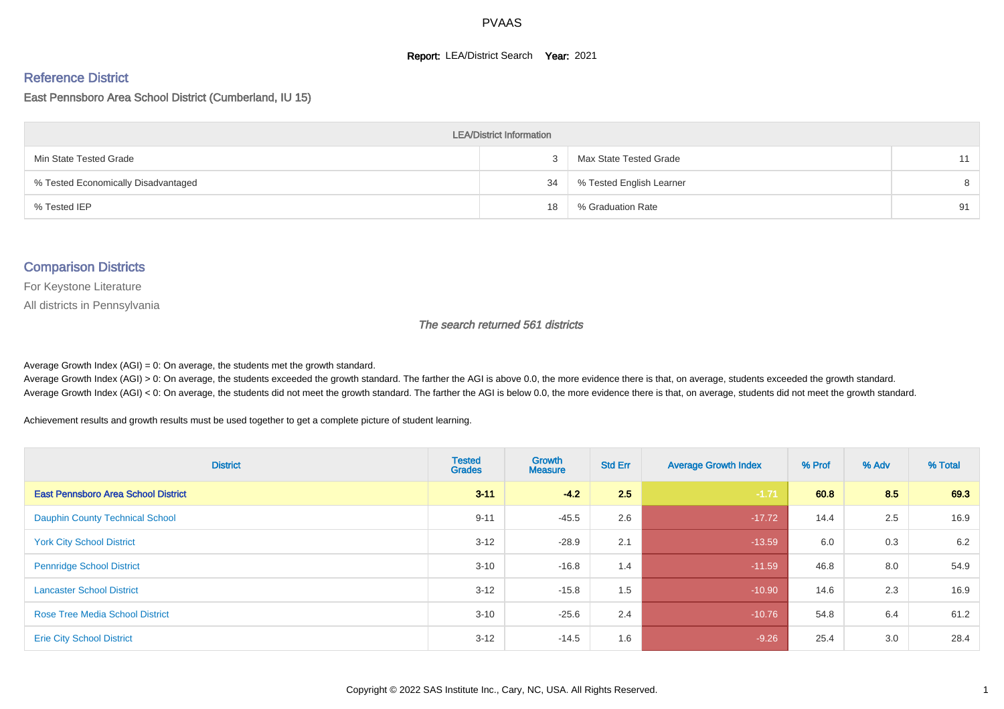#### **Report: LEA/District Search Year: 2021**

#### Reference District

#### East Pennsboro Area School District (Cumberland, IU 15)

| <b>LEA/District Information</b>     |    |                          |    |  |  |  |  |  |  |  |
|-------------------------------------|----|--------------------------|----|--|--|--|--|--|--|--|
| Min State Tested Grade              |    | Max State Tested Grade   | 11 |  |  |  |  |  |  |  |
| % Tested Economically Disadvantaged | 34 | % Tested English Learner | 8  |  |  |  |  |  |  |  |
| % Tested IEP                        | 18 | % Graduation Rate        | 91 |  |  |  |  |  |  |  |

#### Comparison Districts

For Keystone Literature

All districts in Pennsylvania

The search returned 561 districts

Average Growth Index  $(AGI) = 0$ : On average, the students met the growth standard.

Average Growth Index (AGI) > 0: On average, the students exceeded the growth standard. The farther the AGI is above 0.0, the more evidence there is that, on average, students exceeded the growth standard. Average Growth Index (AGI) < 0: On average, the students did not meet the growth standard. The farther the AGI is below 0.0, the more evidence there is that, on average, students did not meet the growth standard.

Achievement results and growth results must be used together to get a complete picture of student learning.

| <b>District</b>                            | <b>Tested</b><br><b>Grades</b> | <b>Growth</b><br><b>Measure</b> | <b>Std Err</b> | <b>Average Growth Index</b> | % Prof | % Adv | % Total |
|--------------------------------------------|--------------------------------|---------------------------------|----------------|-----------------------------|--------|-------|---------|
| <b>East Pennsboro Area School District</b> | $3 - 11$                       | $-4.2$                          | 2.5            | $-1.71$                     | 60.8   | 8.5   | 69.3    |
| <b>Dauphin County Technical School</b>     | $9 - 11$                       | $-45.5$                         | 2.6            | $-17.72$                    | 14.4   | 2.5   | 16.9    |
| <b>York City School District</b>           | $3 - 12$                       | $-28.9$                         | 2.1            | $-13.59$                    | 6.0    | 0.3   | 6.2     |
| <b>Pennridge School District</b>           | $3 - 10$                       | $-16.8$                         | 1.4            | $-11.59$                    | 46.8   | 8.0   | 54.9    |
| <b>Lancaster School District</b>           | $3 - 12$                       | $-15.8$                         | 1.5            | $-10.90$                    | 14.6   | 2.3   | 16.9    |
| <b>Rose Tree Media School District</b>     | $3 - 10$                       | $-25.6$                         | 2.4            | $-10.76$                    | 54.8   | 6.4   | 61.2    |
| <b>Erie City School District</b>           | $3 - 12$                       | $-14.5$                         | 1.6            | $-9.26$                     | 25.4   | 3.0   | 28.4    |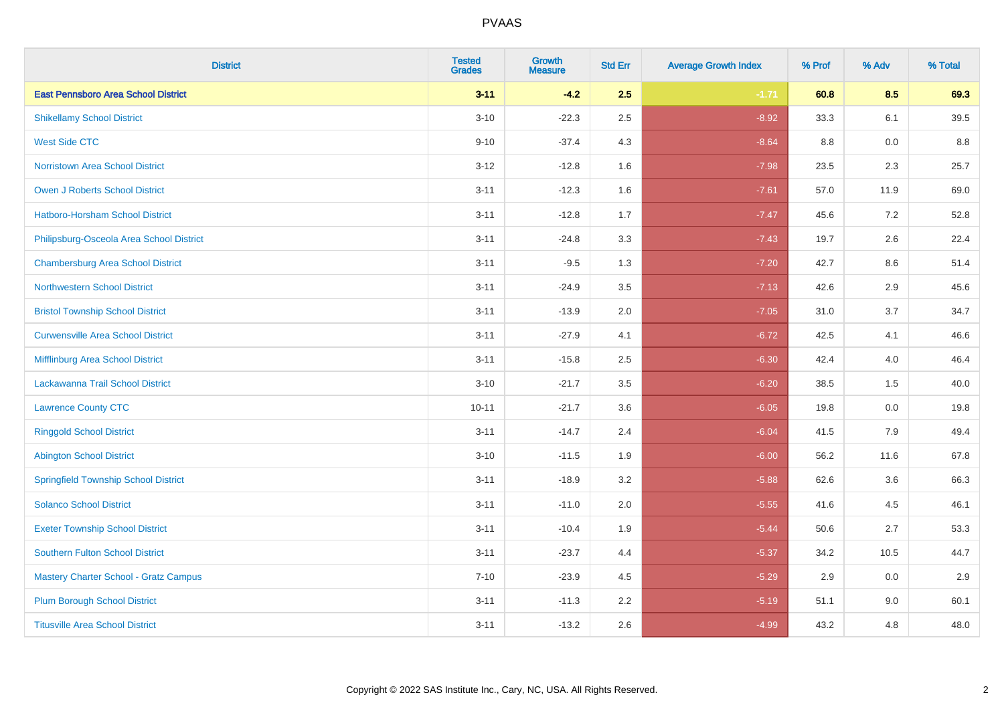| <b>District</b>                              | <b>Tested</b><br><b>Grades</b> | <b>Growth</b><br><b>Measure</b> | <b>Std Err</b> | <b>Average Growth Index</b> | % Prof | % Adv | % Total |
|----------------------------------------------|--------------------------------|---------------------------------|----------------|-----------------------------|--------|-------|---------|
| <b>East Pennsboro Area School District</b>   | $3 - 11$                       | $-4.2$                          | 2.5            | $-1.71$                     | 60.8   | 8.5   | 69.3    |
| <b>Shikellamy School District</b>            | $3 - 10$                       | $-22.3$                         | 2.5            | $-8.92$                     | 33.3   | 6.1   | 39.5    |
| <b>West Side CTC</b>                         | $9 - 10$                       | $-37.4$                         | 4.3            | $-8.64$                     | 8.8    | 0.0   | 8.8     |
| <b>Norristown Area School District</b>       | $3 - 12$                       | $-12.8$                         | 1.6            | $-7.98$                     | 23.5   | 2.3   | 25.7    |
| Owen J Roberts School District               | $3 - 11$                       | $-12.3$                         | 1.6            | $-7.61$                     | 57.0   | 11.9  | 69.0    |
| <b>Hatboro-Horsham School District</b>       | $3 - 11$                       | $-12.8$                         | 1.7            | $-7.47$                     | 45.6   | 7.2   | 52.8    |
| Philipsburg-Osceola Area School District     | $3 - 11$                       | $-24.8$                         | 3.3            | $-7.43$                     | 19.7   | 2.6   | 22.4    |
| <b>Chambersburg Area School District</b>     | $3 - 11$                       | $-9.5$                          | 1.3            | $-7.20$                     | 42.7   | 8.6   | 51.4    |
| <b>Northwestern School District</b>          | $3 - 11$                       | $-24.9$                         | 3.5            | $-7.13$                     | 42.6   | 2.9   | 45.6    |
| <b>Bristol Township School District</b>      | $3 - 11$                       | $-13.9$                         | 2.0            | $-7.05$                     | 31.0   | 3.7   | 34.7    |
| <b>Curwensville Area School District</b>     | $3 - 11$                       | $-27.9$                         | 4.1            | $-6.72$                     | 42.5   | 4.1   | 46.6    |
| Mifflinburg Area School District             | $3 - 11$                       | $-15.8$                         | 2.5            | $-6.30$                     | 42.4   | 4.0   | 46.4    |
| Lackawanna Trail School District             | $3 - 10$                       | $-21.7$                         | 3.5            | $-6.20$                     | 38.5   | 1.5   | 40.0    |
| <b>Lawrence County CTC</b>                   | $10 - 11$                      | $-21.7$                         | 3.6            | $-6.05$                     | 19.8   | 0.0   | 19.8    |
| <b>Ringgold School District</b>              | $3 - 11$                       | $-14.7$                         | 2.4            | $-6.04$                     | 41.5   | 7.9   | 49.4    |
| <b>Abington School District</b>              | $3 - 10$                       | $-11.5$                         | 1.9            | $-6.00$                     | 56.2   | 11.6  | 67.8    |
| <b>Springfield Township School District</b>  | $3 - 11$                       | $-18.9$                         | 3.2            | $-5.88$                     | 62.6   | 3.6   | 66.3    |
| <b>Solanco School District</b>               | $3 - 11$                       | $-11.0$                         | 2.0            | $-5.55$                     | 41.6   | 4.5   | 46.1    |
| <b>Exeter Township School District</b>       | $3 - 11$                       | $-10.4$                         | 1.9            | $-5.44$                     | 50.6   | 2.7   | 53.3    |
| <b>Southern Fulton School District</b>       | $3 - 11$                       | $-23.7$                         | 4.4            | $-5.37$                     | 34.2   | 10.5  | 44.7    |
| <b>Mastery Charter School - Gratz Campus</b> | $7 - 10$                       | $-23.9$                         | 4.5            | $-5.29$                     | 2.9    | 0.0   | 2.9     |
| <b>Plum Borough School District</b>          | $3 - 11$                       | $-11.3$                         | 2.2            | $-5.19$                     | 51.1   | 9.0   | 60.1    |
| <b>Titusville Area School District</b>       | $3 - 11$                       | $-13.2$                         | 2.6            | $-4.99$                     | 43.2   | 4.8   | 48.0    |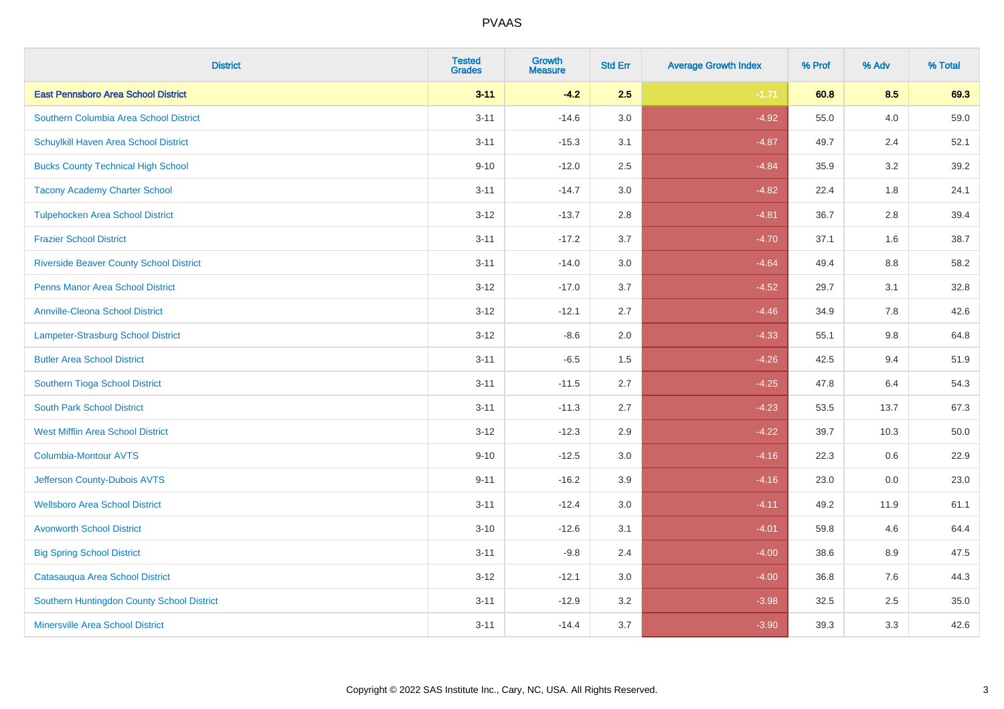| <b>District</b>                                | <b>Tested</b><br><b>Grades</b> | <b>Growth</b><br><b>Measure</b> | <b>Std Err</b> | <b>Average Growth Index</b> | % Prof | % Adv   | % Total |
|------------------------------------------------|--------------------------------|---------------------------------|----------------|-----------------------------|--------|---------|---------|
| <b>East Pennsboro Area School District</b>     | $3 - 11$                       | $-4.2$                          | 2.5            | $-1.71$                     | 60.8   | 8.5     | 69.3    |
| Southern Columbia Area School District         | $3 - 11$                       | $-14.6$                         | 3.0            | $-4.92$                     | 55.0   | 4.0     | 59.0    |
| Schuylkill Haven Area School District          | $3 - 11$                       | $-15.3$                         | 3.1            | $-4.87$                     | 49.7   | 2.4     | 52.1    |
| <b>Bucks County Technical High School</b>      | $9 - 10$                       | $-12.0$                         | 2.5            | $-4.84$                     | 35.9   | 3.2     | 39.2    |
| <b>Tacony Academy Charter School</b>           | $3 - 11$                       | $-14.7$                         | 3.0            | $-4.82$                     | 22.4   | 1.8     | 24.1    |
| <b>Tulpehocken Area School District</b>        | $3 - 12$                       | $-13.7$                         | 2.8            | $-4.81$                     | 36.7   | 2.8     | 39.4    |
| <b>Frazier School District</b>                 | $3 - 11$                       | $-17.2$                         | 3.7            | $-4.70$                     | 37.1   | 1.6     | 38.7    |
| <b>Riverside Beaver County School District</b> | $3 - 11$                       | $-14.0$                         | 3.0            | $-4.64$                     | 49.4   | 8.8     | 58.2    |
| <b>Penns Manor Area School District</b>        | $3 - 12$                       | $-17.0$                         | 3.7            | $-4.52$                     | 29.7   | 3.1     | 32.8    |
| <b>Annville-Cleona School District</b>         | $3 - 12$                       | $-12.1$                         | 2.7            | $-4.46$                     | 34.9   | 7.8     | 42.6    |
| <b>Lampeter-Strasburg School District</b>      | $3 - 12$                       | $-8.6$                          | 2.0            | $-4.33$                     | 55.1   | 9.8     | 64.8    |
| <b>Butler Area School District</b>             | $3 - 11$                       | $-6.5$                          | 1.5            | $-4.26$                     | 42.5   | 9.4     | 51.9    |
| Southern Tioga School District                 | $3 - 11$                       | $-11.5$                         | 2.7            | $-4.25$                     | 47.8   | 6.4     | 54.3    |
| <b>South Park School District</b>              | $3 - 11$                       | $-11.3$                         | 2.7            | $-4.23$                     | 53.5   | 13.7    | 67.3    |
| <b>West Mifflin Area School District</b>       | $3 - 12$                       | $-12.3$                         | 2.9            | $-4.22$                     | 39.7   | 10.3    | 50.0    |
| <b>Columbia-Montour AVTS</b>                   | $9 - 10$                       | $-12.5$                         | 3.0            | $-4.16$                     | 22.3   | $0.6\,$ | 22.9    |
| Jefferson County-Dubois AVTS                   | $9 - 11$                       | $-16.2$                         | 3.9            | $-4.16$                     | 23.0   | 0.0     | 23.0    |
| <b>Wellsboro Area School District</b>          | $3 - 11$                       | $-12.4$                         | 3.0            | $-4.11$                     | 49.2   | 11.9    | 61.1    |
| <b>Avonworth School District</b>               | $3 - 10$                       | $-12.6$                         | 3.1            | $-4.01$                     | 59.8   | 4.6     | 64.4    |
| <b>Big Spring School District</b>              | $3 - 11$                       | $-9.8$                          | 2.4            | $-4.00$                     | 38.6   | 8.9     | 47.5    |
| Catasauqua Area School District                | $3 - 12$                       | $-12.1$                         | 3.0            | $-4.00$                     | 36.8   | 7.6     | 44.3    |
| Southern Huntingdon County School District     | $3 - 11$                       | $-12.9$                         | 3.2            | $-3.98$                     | 32.5   | 2.5     | 35.0    |
| <b>Minersville Area School District</b>        | $3 - 11$                       | $-14.4$                         | 3.7            | $-3.90$                     | 39.3   | 3.3     | 42.6    |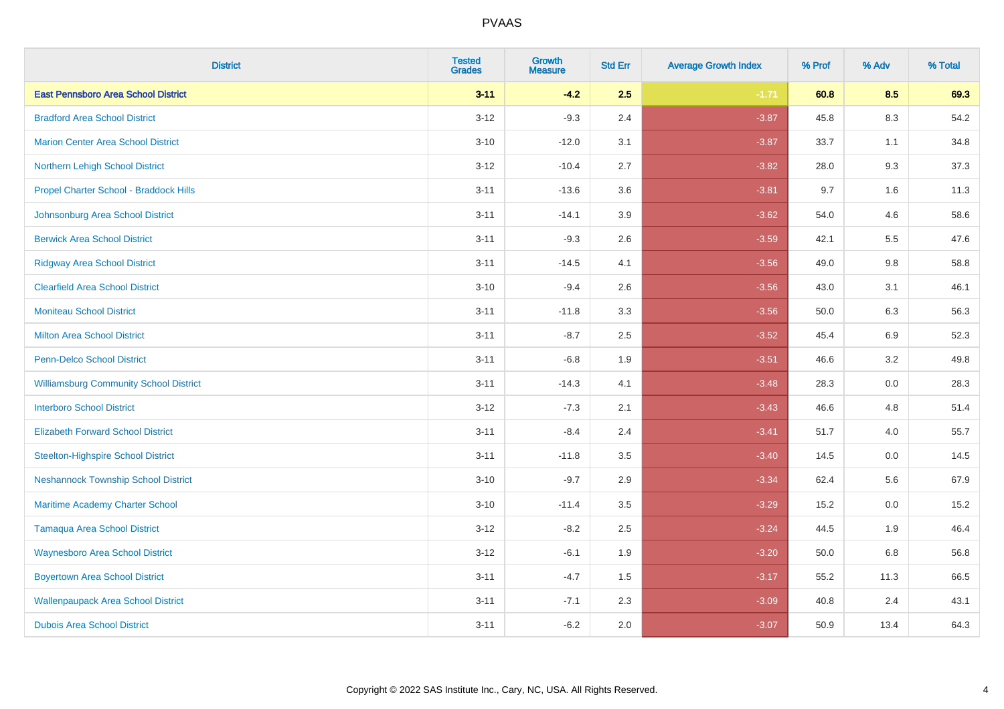| <b>District</b>                               | <b>Tested</b><br><b>Grades</b> | <b>Growth</b><br><b>Measure</b> | <b>Std Err</b> | <b>Average Growth Index</b> | % Prof | % Adv   | % Total |
|-----------------------------------------------|--------------------------------|---------------------------------|----------------|-----------------------------|--------|---------|---------|
| <b>East Pennsboro Area School District</b>    | $3 - 11$                       | $-4.2$                          | 2.5            | $-1.71$                     | 60.8   | 8.5     | 69.3    |
| <b>Bradford Area School District</b>          | $3 - 12$                       | $-9.3$                          | 2.4            | $-3.87$                     | 45.8   | $8.3\,$ | 54.2    |
| <b>Marion Center Area School District</b>     | $3 - 10$                       | $-12.0$                         | 3.1            | $-3.87$                     | 33.7   | 1.1     | 34.8    |
| Northern Lehigh School District               | $3 - 12$                       | $-10.4$                         | 2.7            | $-3.82$                     | 28.0   | 9.3     | 37.3    |
| Propel Charter School - Braddock Hills        | $3 - 11$                       | $-13.6$                         | 3.6            | $-3.81$                     | 9.7    | 1.6     | 11.3    |
| Johnsonburg Area School District              | $3 - 11$                       | $-14.1$                         | 3.9            | $-3.62$                     | 54.0   | 4.6     | 58.6    |
| <b>Berwick Area School District</b>           | $3 - 11$                       | $-9.3$                          | 2.6            | $-3.59$                     | 42.1   | 5.5     | 47.6    |
| <b>Ridgway Area School District</b>           | $3 - 11$                       | $-14.5$                         | 4.1            | $-3.56$                     | 49.0   | 9.8     | 58.8    |
| <b>Clearfield Area School District</b>        | $3 - 10$                       | $-9.4$                          | 2.6            | $-3.56$                     | 43.0   | 3.1     | 46.1    |
| <b>Moniteau School District</b>               | $3 - 11$                       | $-11.8$                         | 3.3            | $-3.56$                     | 50.0   | 6.3     | 56.3    |
| <b>Milton Area School District</b>            | $3 - 11$                       | $-8.7$                          | 2.5            | $-3.52$                     | 45.4   | 6.9     | 52.3    |
| <b>Penn-Delco School District</b>             | $3 - 11$                       | $-6.8$                          | 1.9            | $-3.51$                     | 46.6   | 3.2     | 49.8    |
| <b>Williamsburg Community School District</b> | $3 - 11$                       | $-14.3$                         | 4.1            | $-3.48$                     | 28.3   | $0.0\,$ | 28.3    |
| <b>Interboro School District</b>              | $3 - 12$                       | $-7.3$                          | 2.1            | $-3.43$                     | 46.6   | 4.8     | 51.4    |
| <b>Elizabeth Forward School District</b>      | $3 - 11$                       | $-8.4$                          | 2.4            | $-3.41$                     | 51.7   | 4.0     | 55.7    |
| <b>Steelton-Highspire School District</b>     | $3 - 11$                       | $-11.8$                         | 3.5            | $-3.40$                     | 14.5   | $0.0\,$ | 14.5    |
| <b>Neshannock Township School District</b>    | $3 - 10$                       | $-9.7$                          | 2.9            | $-3.34$                     | 62.4   | 5.6     | 67.9    |
| Maritime Academy Charter School               | $3 - 10$                       | $-11.4$                         | 3.5            | $-3.29$                     | 15.2   | 0.0     | 15.2    |
| <b>Tamaqua Area School District</b>           | $3 - 12$                       | $-8.2$                          | 2.5            | $-3.24$                     | 44.5   | 1.9     | 46.4    |
| <b>Waynesboro Area School District</b>        | $3 - 12$                       | $-6.1$                          | 1.9            | $-3.20$                     | 50.0   | 6.8     | 56.8    |
| <b>Boyertown Area School District</b>         | $3 - 11$                       | $-4.7$                          | 1.5            | $-3.17$                     | 55.2   | 11.3    | 66.5    |
| <b>Wallenpaupack Area School District</b>     | $3 - 11$                       | $-7.1$                          | 2.3            | $-3.09$                     | 40.8   | 2.4     | 43.1    |
| <b>Dubois Area School District</b>            | $3 - 11$                       | $-6.2$                          | 2.0            | $-3.07$                     | 50.9   | 13.4    | 64.3    |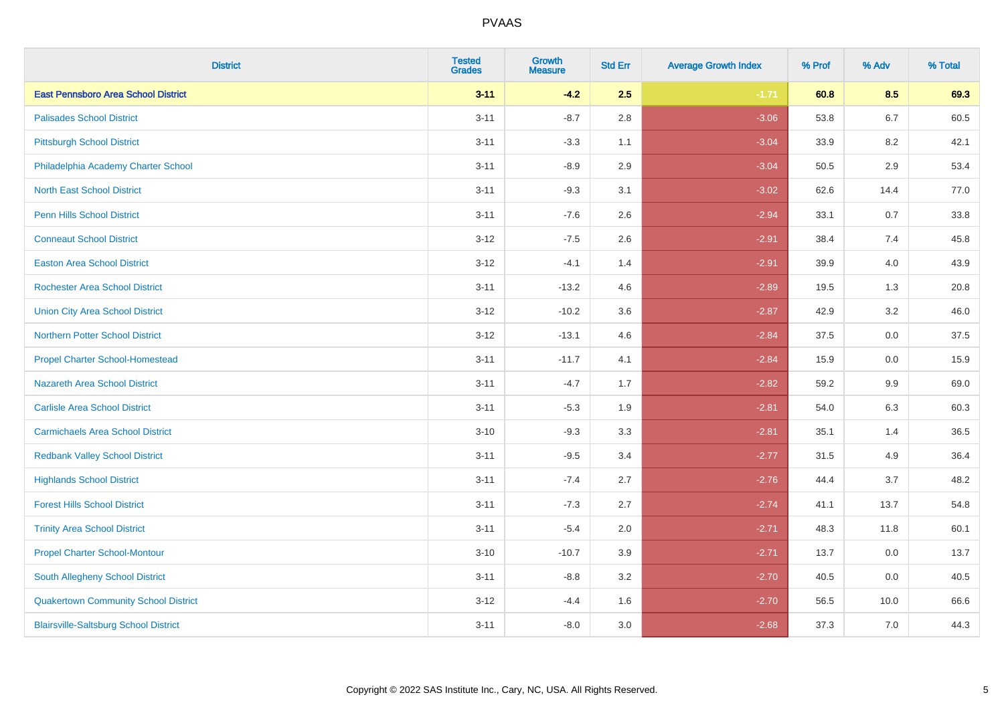| <b>District</b>                              | <b>Tested</b><br><b>Grades</b> | <b>Growth</b><br><b>Measure</b> | <b>Std Err</b> | <b>Average Growth Index</b> | % Prof | % Adv   | % Total |
|----------------------------------------------|--------------------------------|---------------------------------|----------------|-----------------------------|--------|---------|---------|
| <b>East Pennsboro Area School District</b>   | $3 - 11$                       | $-4.2$                          | 2.5            | $-1.71$                     | 60.8   | 8.5     | 69.3    |
| <b>Palisades School District</b>             | $3 - 11$                       | $-8.7$                          | 2.8            | $-3.06$                     | 53.8   | $6.7\,$ | 60.5    |
| <b>Pittsburgh School District</b>            | $3 - 11$                       | $-3.3$                          | 1.1            | $-3.04$                     | 33.9   | 8.2     | 42.1    |
| Philadelphia Academy Charter School          | $3 - 11$                       | $-8.9$                          | 2.9            | $-3.04$                     | 50.5   | 2.9     | 53.4    |
| <b>North East School District</b>            | $3 - 11$                       | $-9.3$                          | 3.1            | $-3.02$                     | 62.6   | 14.4    | 77.0    |
| <b>Penn Hills School District</b>            | $3 - 11$                       | $-7.6$                          | 2.6            | $-2.94$                     | 33.1   | 0.7     | 33.8    |
| <b>Conneaut School District</b>              | $3 - 12$                       | $-7.5$                          | 2.6            | $-2.91$                     | 38.4   | 7.4     | 45.8    |
| <b>Easton Area School District</b>           | $3 - 12$                       | $-4.1$                          | 1.4            | $-2.91$                     | 39.9   | 4.0     | 43.9    |
| <b>Rochester Area School District</b>        | $3 - 11$                       | $-13.2$                         | 4.6            | $-2.89$                     | 19.5   | 1.3     | 20.8    |
| <b>Union City Area School District</b>       | $3 - 12$                       | $-10.2$                         | 3.6            | $-2.87$                     | 42.9   | 3.2     | 46.0    |
| <b>Northern Potter School District</b>       | $3 - 12$                       | $-13.1$                         | 4.6            | $-2.84$                     | 37.5   | 0.0     | 37.5    |
| <b>Propel Charter School-Homestead</b>       | $3 - 11$                       | $-11.7$                         | 4.1            | $-2.84$                     | 15.9   | 0.0     | 15.9    |
| Nazareth Area School District                | $3 - 11$                       | $-4.7$                          | 1.7            | $-2.82$                     | 59.2   | $9.9\,$ | 69.0    |
| <b>Carlisle Area School District</b>         | $3 - 11$                       | $-5.3$                          | 1.9            | $-2.81$                     | 54.0   | 6.3     | 60.3    |
| <b>Carmichaels Area School District</b>      | $3 - 10$                       | $-9.3$                          | 3.3            | $-2.81$                     | 35.1   | 1.4     | 36.5    |
| <b>Redbank Valley School District</b>        | $3 - 11$                       | $-9.5$                          | 3.4            | $-2.77$                     | 31.5   | 4.9     | 36.4    |
| <b>Highlands School District</b>             | $3 - 11$                       | $-7.4$                          | 2.7            | $-2.76$                     | 44.4   | 3.7     | 48.2    |
| <b>Forest Hills School District</b>          | $3 - 11$                       | $-7.3$                          | 2.7            | $-2.74$                     | 41.1   | 13.7    | 54.8    |
| <b>Trinity Area School District</b>          | $3 - 11$                       | $-5.4$                          | 2.0            | $-2.71$                     | 48.3   | 11.8    | 60.1    |
| <b>Propel Charter School-Montour</b>         | $3 - 10$                       | $-10.7$                         | 3.9            | $-2.71$                     | 13.7   | 0.0     | 13.7    |
| South Allegheny School District              | $3 - 11$                       | $-8.8$                          | 3.2            | $-2.70$                     | 40.5   | 0.0     | 40.5    |
| <b>Quakertown Community School District</b>  | $3-12$                         | $-4.4$                          | 1.6            | $-2.70$                     | 56.5   | 10.0    | 66.6    |
| <b>Blairsville-Saltsburg School District</b> | $3 - 11$                       | $-8.0$                          | 3.0            | $-2.68$                     | 37.3   | 7.0     | 44.3    |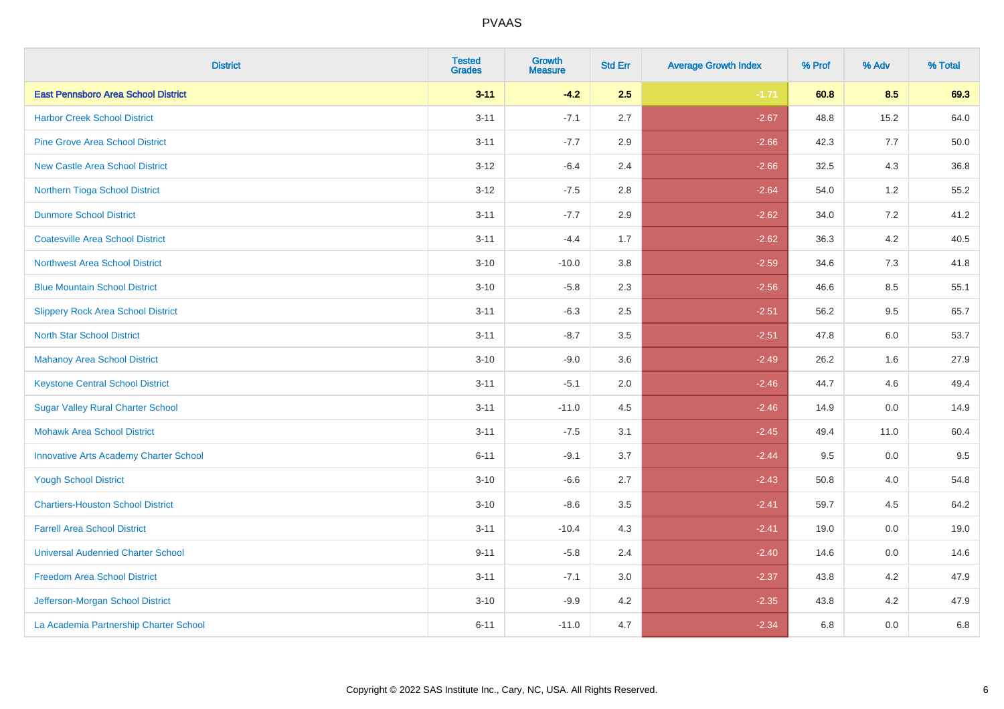| <b>District</b>                               | <b>Tested</b><br><b>Grades</b> | <b>Growth</b><br><b>Measure</b> | <b>Std Err</b> | <b>Average Growth Index</b> | % Prof | % Adv   | % Total |
|-----------------------------------------------|--------------------------------|---------------------------------|----------------|-----------------------------|--------|---------|---------|
| <b>East Pennsboro Area School District</b>    | $3 - 11$                       | $-4.2$                          | 2.5            | $-1.71$                     | 60.8   | 8.5     | 69.3    |
| <b>Harbor Creek School District</b>           | $3 - 11$                       | $-7.1$                          | 2.7            | $-2.67$                     | 48.8   | 15.2    | 64.0    |
| <b>Pine Grove Area School District</b>        | $3 - 11$                       | $-7.7$                          | 2.9            | $-2.66$                     | 42.3   | 7.7     | 50.0    |
| <b>New Castle Area School District</b>        | $3-12$                         | $-6.4$                          | 2.4            | $-2.66$                     | 32.5   | $4.3$   | 36.8    |
| Northern Tioga School District                | $3 - 12$                       | $-7.5$                          | 2.8            | $-2.64$                     | 54.0   | 1.2     | 55.2    |
| <b>Dunmore School District</b>                | $3 - 11$                       | $-7.7$                          | 2.9            | $-2.62$                     | 34.0   | 7.2     | 41.2    |
| <b>Coatesville Area School District</b>       | $3 - 11$                       | $-4.4$                          | 1.7            | $-2.62$                     | 36.3   | $4.2\,$ | 40.5    |
| <b>Northwest Area School District</b>         | $3 - 10$                       | $-10.0$                         | 3.8            | $-2.59$                     | 34.6   | 7.3     | 41.8    |
| <b>Blue Mountain School District</b>          | $3 - 10$                       | $-5.8$                          | 2.3            | $-2.56$                     | 46.6   | 8.5     | 55.1    |
| <b>Slippery Rock Area School District</b>     | $3 - 11$                       | $-6.3$                          | 2.5            | $-2.51$                     | 56.2   | $9.5\,$ | 65.7    |
| <b>North Star School District</b>             | $3 - 11$                       | $-8.7$                          | 3.5            | $-2.51$                     | 47.8   | 6.0     | 53.7    |
| <b>Mahanoy Area School District</b>           | $3 - 10$                       | $-9.0$                          | 3.6            | $-2.49$                     | 26.2   | 1.6     | 27.9    |
| <b>Keystone Central School District</b>       | $3 - 11$                       | $-5.1$                          | 2.0            | $-2.46$                     | 44.7   | 4.6     | 49.4    |
| <b>Sugar Valley Rural Charter School</b>      | $3 - 11$                       | $-11.0$                         | 4.5            | $-2.46$                     | 14.9   | $0.0\,$ | 14.9    |
| <b>Mohawk Area School District</b>            | $3 - 11$                       | $-7.5$                          | 3.1            | $-2.45$                     | 49.4   | 11.0    | 60.4    |
| <b>Innovative Arts Academy Charter School</b> | $6 - 11$                       | $-9.1$                          | 3.7            | $-2.44$                     | 9.5    | 0.0     | 9.5     |
| <b>Yough School District</b>                  | $3 - 10$                       | $-6.6$                          | 2.7            | $-2.43$                     | 50.8   | 4.0     | 54.8    |
| <b>Chartiers-Houston School District</b>      | $3 - 10$                       | $-8.6$                          | 3.5            | $-2.41$                     | 59.7   | 4.5     | 64.2    |
| <b>Farrell Area School District</b>           | $3 - 11$                       | $-10.4$                         | 4.3            | $-2.41$                     | 19.0   | 0.0     | 19.0    |
| <b>Universal Audenried Charter School</b>     | $9 - 11$                       | $-5.8$                          | 2.4            | $-2.40$                     | 14.6   | 0.0     | 14.6    |
| <b>Freedom Area School District</b>           | $3 - 11$                       | $-7.1$                          | 3.0            | $-2.37$                     | 43.8   | 4.2     | 47.9    |
| Jefferson-Morgan School District              | $3 - 10$                       | $-9.9$                          | 4.2            | $-2.35$                     | 43.8   | 4.2     | 47.9    |
| La Academia Partnership Charter School        | $6 - 11$                       | $-11.0$                         | 4.7            | $-2.34$                     | 6.8    | 0.0     | 6.8     |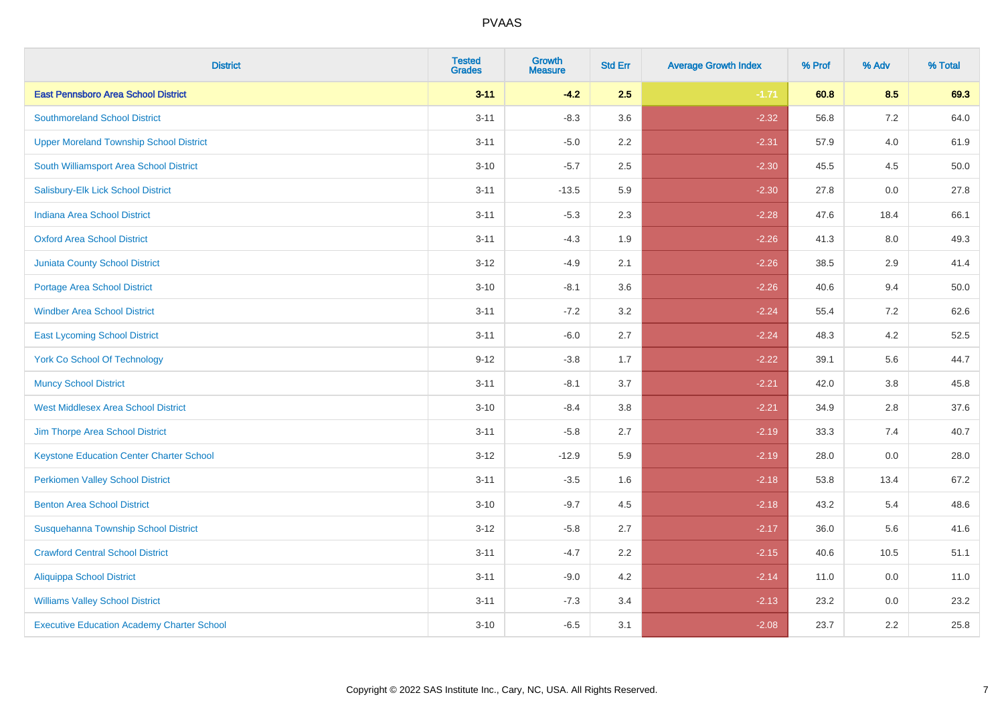| <b>District</b>                                   | <b>Tested</b><br><b>Grades</b> | <b>Growth</b><br><b>Measure</b> | <b>Std Err</b> | <b>Average Growth Index</b> | % Prof | % Adv   | % Total |
|---------------------------------------------------|--------------------------------|---------------------------------|----------------|-----------------------------|--------|---------|---------|
| <b>East Pennsboro Area School District</b>        | $3 - 11$                       | $-4.2$                          | 2.5            | $-1.71$                     | 60.8   | 8.5     | 69.3    |
| <b>Southmoreland School District</b>              | $3 - 11$                       | $-8.3$                          | 3.6            | $-2.32$                     | 56.8   | $7.2\,$ | 64.0    |
| <b>Upper Moreland Township School District</b>    | $3 - 11$                       | $-5.0$                          | 2.2            | $-2.31$                     | 57.9   | 4.0     | 61.9    |
| South Williamsport Area School District           | $3 - 10$                       | $-5.7$                          | 2.5            | $-2.30$                     | 45.5   | 4.5     | 50.0    |
| Salisbury-Elk Lick School District                | $3 - 11$                       | $-13.5$                         | 5.9            | $-2.30$                     | 27.8   | 0.0     | 27.8    |
| Indiana Area School District                      | $3 - 11$                       | $-5.3$                          | 2.3            | $-2.28$                     | 47.6   | 18.4    | 66.1    |
| <b>Oxford Area School District</b>                | $3 - 11$                       | $-4.3$                          | 1.9            | $-2.26$                     | 41.3   | 8.0     | 49.3    |
| <b>Juniata County School District</b>             | $3 - 12$                       | $-4.9$                          | 2.1            | $-2.26$                     | 38.5   | 2.9     | 41.4    |
| <b>Portage Area School District</b>               | $3 - 10$                       | $-8.1$                          | 3.6            | $-2.26$                     | 40.6   | 9.4     | 50.0    |
| <b>Windber Area School District</b>               | $3 - 11$                       | $-7.2$                          | 3.2            | $-2.24$                     | 55.4   | 7.2     | 62.6    |
| <b>East Lycoming School District</b>              | $3 - 11$                       | $-6.0$                          | 2.7            | $-2.24$                     | 48.3   | 4.2     | 52.5    |
| <b>York Co School Of Technology</b>               | $9 - 12$                       | $-3.8$                          | 1.7            | $-2.22$                     | 39.1   | 5.6     | 44.7    |
| <b>Muncy School District</b>                      | $3 - 11$                       | $-8.1$                          | 3.7            | $-2.21$                     | 42.0   | $3.8\,$ | 45.8    |
| <b>West Middlesex Area School District</b>        | $3 - 10$                       | $-8.4$                          | $3.8\,$        | $-2.21$                     | 34.9   | 2.8     | 37.6    |
| Jim Thorpe Area School District                   | $3 - 11$                       | $-5.8$                          | 2.7            | $-2.19$                     | 33.3   | 7.4     | 40.7    |
| <b>Keystone Education Center Charter School</b>   | $3 - 12$                       | $-12.9$                         | 5.9            | $-2.19$                     | 28.0   | $0.0\,$ | 28.0    |
| <b>Perkiomen Valley School District</b>           | $3 - 11$                       | $-3.5$                          | 1.6            | $-2.18$                     | 53.8   | 13.4    | 67.2    |
| <b>Benton Area School District</b>                | $3 - 10$                       | $-9.7$                          | 4.5            | $-2.18$                     | 43.2   | 5.4     | 48.6    |
| Susquehanna Township School District              | $3 - 12$                       | $-5.8$                          | 2.7            | $-2.17$                     | 36.0   | 5.6     | 41.6    |
| <b>Crawford Central School District</b>           | $3 - 11$                       | $-4.7$                          | 2.2            | $-2.15$                     | 40.6   | 10.5    | 51.1    |
| <b>Aliquippa School District</b>                  | $3 - 11$                       | $-9.0$                          | 4.2            | $-2.14$                     | 11.0   | 0.0     | 11.0    |
| <b>Williams Valley School District</b>            | $3 - 11$                       | $-7.3$                          | 3.4            | $-2.13$                     | 23.2   | 0.0     | 23.2    |
| <b>Executive Education Academy Charter School</b> | $3 - 10$                       | $-6.5$                          | 3.1            | $-2.08$                     | 23.7   | 2.2     | 25.8    |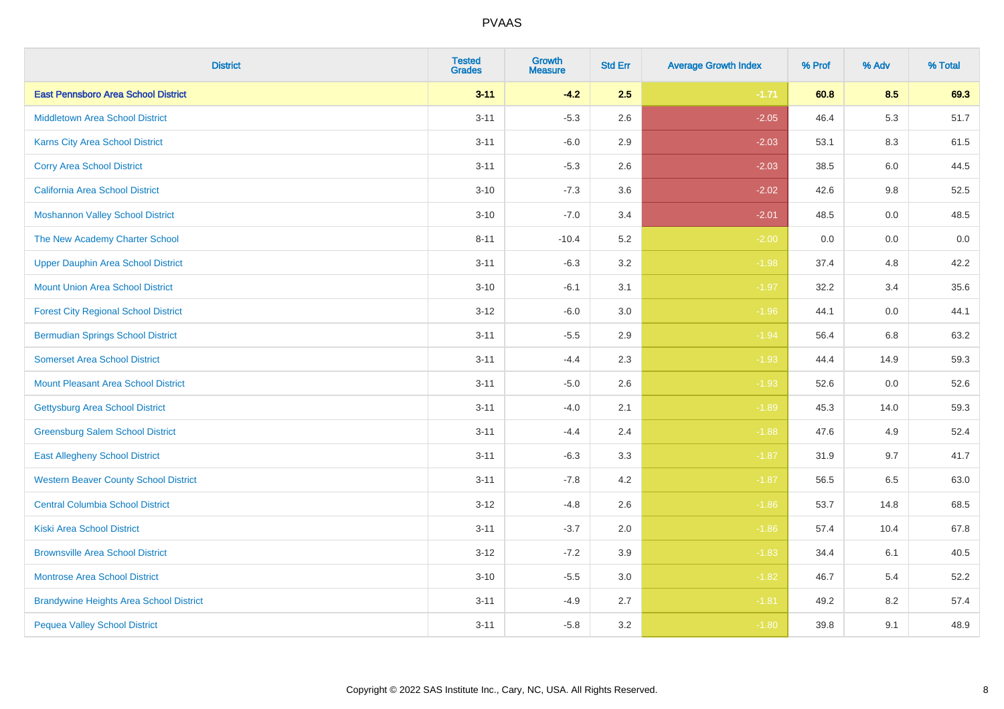| <b>District</b>                                | <b>Tested</b><br><b>Grades</b> | Growth<br><b>Measure</b> | <b>Std Err</b> | <b>Average Growth Index</b> | % Prof | % Adv | % Total |
|------------------------------------------------|--------------------------------|--------------------------|----------------|-----------------------------|--------|-------|---------|
| <b>East Pennsboro Area School District</b>     | $3 - 11$                       | $-4.2$                   | 2.5            | $-1.71$                     | 60.8   | 8.5   | 69.3    |
| <b>Middletown Area School District</b>         | $3 - 11$                       | $-5.3$                   | 2.6            | $-2.05$                     | 46.4   | 5.3   | 51.7    |
| Karns City Area School District                | $3 - 11$                       | $-6.0$                   | 2.9            | $-2.03$                     | 53.1   | 8.3   | 61.5    |
| <b>Corry Area School District</b>              | $3 - 11$                       | $-5.3$                   | 2.6            | $-2.03$                     | 38.5   | 6.0   | 44.5    |
| <b>California Area School District</b>         | $3 - 10$                       | $-7.3$                   | 3.6            | $-2.02$                     | 42.6   | 9.8   | 52.5    |
| <b>Moshannon Valley School District</b>        | $3 - 10$                       | $-7.0$                   | 3.4            | $-2.01$                     | 48.5   | 0.0   | 48.5    |
| The New Academy Charter School                 | $8 - 11$                       | $-10.4$                  | 5.2            | $-2.00$                     | 0.0    | 0.0   | $0.0\,$ |
| Upper Dauphin Area School District             | $3 - 11$                       | $-6.3$                   | 3.2            | $-1.98$                     | 37.4   | 4.8   | 42.2    |
| <b>Mount Union Area School District</b>        | $3 - 10$                       | $-6.1$                   | 3.1            | $-1.97$                     | 32.2   | 3.4   | 35.6    |
| <b>Forest City Regional School District</b>    | $3 - 12$                       | $-6.0$                   | 3.0            | $-1.96$                     | 44.1   | 0.0   | 44.1    |
| <b>Bermudian Springs School District</b>       | $3 - 11$                       | $-5.5$                   | 2.9            | $-1.94$                     | 56.4   | 6.8   | 63.2    |
| <b>Somerset Area School District</b>           | $3 - 11$                       | $-4.4$                   | 2.3            | $-1.93$                     | 44.4   | 14.9  | 59.3    |
| <b>Mount Pleasant Area School District</b>     | $3 - 11$                       | $-5.0$                   | 2.6            | $-1.93$                     | 52.6   | 0.0   | 52.6    |
| <b>Gettysburg Area School District</b>         | $3 - 11$                       | $-4.0$                   | 2.1            | $-1.89$                     | 45.3   | 14.0  | 59.3    |
| <b>Greensburg Salem School District</b>        | $3 - 11$                       | $-4.4$                   | 2.4            | $-1.88$                     | 47.6   | 4.9   | 52.4    |
| <b>East Allegheny School District</b>          | $3 - 11$                       | $-6.3$                   | 3.3            | $-1.87$                     | 31.9   | 9.7   | 41.7    |
| <b>Western Beaver County School District</b>   | $3 - 11$                       | $-7.8$                   | 4.2            | $-1.87$                     | 56.5   | 6.5   | 63.0    |
| <b>Central Columbia School District</b>        | $3-12$                         | $-4.8$                   | 2.6            | $-1.86$                     | 53.7   | 14.8  | 68.5    |
| <b>Kiski Area School District</b>              | $3 - 11$                       | $-3.7$                   | 2.0            | $-1.86$                     | 57.4   | 10.4  | 67.8    |
| <b>Brownsville Area School District</b>        | $3 - 12$                       | $-7.2$                   | 3.9            | $-1.83$                     | 34.4   | 6.1   | 40.5    |
| <b>Montrose Area School District</b>           | $3 - 10$                       | $-5.5$                   | 3.0            | $-1.82$                     | 46.7   | 5.4   | 52.2    |
| <b>Brandywine Heights Area School District</b> | $3 - 11$                       | $-4.9$                   | 2.7            | $-1.81$                     | 49.2   | 8.2   | 57.4    |
| <b>Pequea Valley School District</b>           | $3 - 11$                       | $-5.8$                   | 3.2            | $-1.80$                     | 39.8   | 9.1   | 48.9    |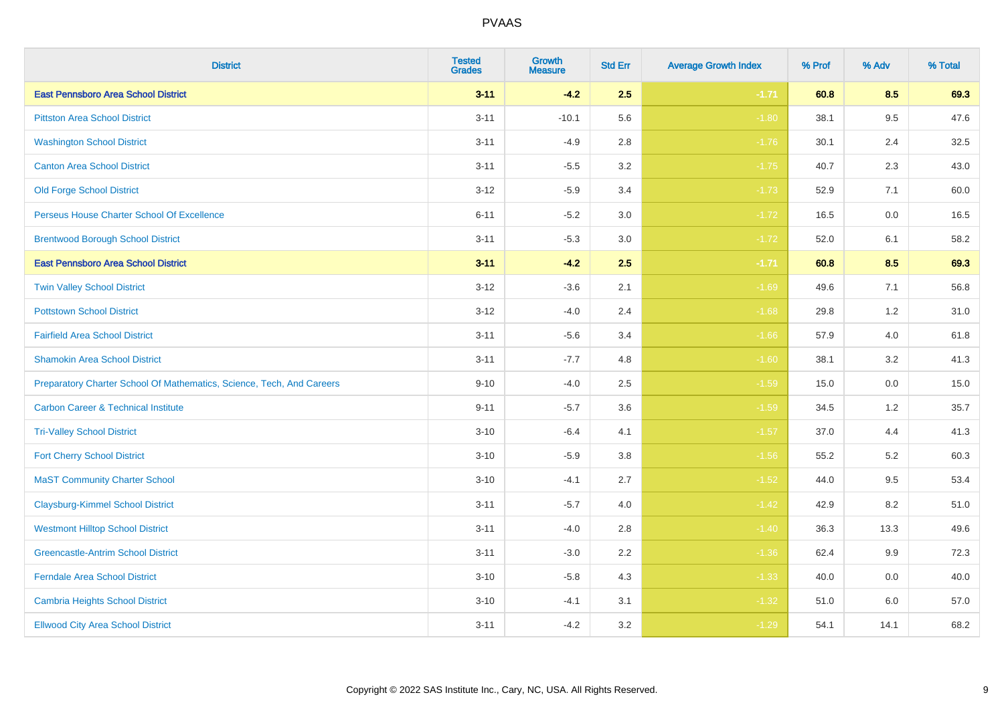| <b>District</b>                                                       | <b>Tested</b><br><b>Grades</b> | <b>Growth</b><br><b>Measure</b> | <b>Std Err</b> | <b>Average Growth Index</b> | % Prof | % Adv | % Total |
|-----------------------------------------------------------------------|--------------------------------|---------------------------------|----------------|-----------------------------|--------|-------|---------|
| <b>East Pennsboro Area School District</b>                            | $3 - 11$                       | $-4.2$                          | 2.5            | $-1.71$                     | 60.8   | 8.5   | 69.3    |
| <b>Pittston Area School District</b>                                  | $3 - 11$                       | $-10.1$                         | 5.6            | $-1.80$                     | 38.1   | 9.5   | 47.6    |
| <b>Washington School District</b>                                     | $3 - 11$                       | $-4.9$                          | 2.8            | $-1.76$                     | 30.1   | 2.4   | 32.5    |
| <b>Canton Area School District</b>                                    | $3 - 11$                       | $-5.5$                          | 3.2            | $-1.75$                     | 40.7   | 2.3   | 43.0    |
| <b>Old Forge School District</b>                                      | $3 - 12$                       | $-5.9$                          | 3.4            | $-1.73$                     | 52.9   | 7.1   | 60.0    |
| Perseus House Charter School Of Excellence                            | $6 - 11$                       | $-5.2$                          | 3.0            | $-1.72$                     | 16.5   | 0.0   | 16.5    |
| <b>Brentwood Borough School District</b>                              | $3 - 11$                       | $-5.3$                          | 3.0            | $-1.72$                     | 52.0   | 6.1   | 58.2    |
| <b>East Pennsboro Area School District</b>                            | $3 - 11$                       | $-4.2$                          | 2.5            | $-1.71$                     | 60.8   | 8.5   | 69.3    |
| <b>Twin Valley School District</b>                                    | $3 - 12$                       | $-3.6$                          | 2.1            | $-1.69$                     | 49.6   | 7.1   | 56.8    |
| <b>Pottstown School District</b>                                      | $3 - 12$                       | $-4.0$                          | 2.4            | $-1.68$                     | 29.8   | 1.2   | 31.0    |
| <b>Fairfield Area School District</b>                                 | $3 - 11$                       | $-5.6$                          | 3.4            | $-1.66$                     | 57.9   | 4.0   | 61.8    |
| <b>Shamokin Area School District</b>                                  | $3 - 11$                       | $-7.7$                          | 4.8            | $-1.60$                     | 38.1   | 3.2   | 41.3    |
| Preparatory Charter School Of Mathematics, Science, Tech, And Careers | $9 - 10$                       | $-4.0$                          | 2.5            | $-1.59$                     | 15.0   | 0.0   | 15.0    |
| <b>Carbon Career &amp; Technical Institute</b>                        | $9 - 11$                       | $-5.7$                          | 3.6            | $-1.59$                     | 34.5   | 1.2   | 35.7    |
| <b>Tri-Valley School District</b>                                     | $3 - 10$                       | $-6.4$                          | 4.1            | $-1.57$                     | 37.0   | 4.4   | 41.3    |
| <b>Fort Cherry School District</b>                                    | $3 - 10$                       | $-5.9$                          | 3.8            | $-1.56$                     | 55.2   | 5.2   | 60.3    |
| <b>MaST Community Charter School</b>                                  | $3 - 10$                       | $-4.1$                          | 2.7            | $-1.52$                     | 44.0   | 9.5   | 53.4    |
| <b>Claysburg-Kimmel School District</b>                               | $3 - 11$                       | $-5.7$                          | 4.0            | $-1.42$                     | 42.9   | 8.2   | 51.0    |
| <b>Westmont Hilltop School District</b>                               | $3 - 11$                       | $-4.0$                          | 2.8            | $-1.40$                     | 36.3   | 13.3  | 49.6    |
| <b>Greencastle-Antrim School District</b>                             | $3 - 11$                       | $-3.0$                          | 2.2            | $-1.36$                     | 62.4   | 9.9   | 72.3    |
| Ferndale Area School District                                         | $3 - 10$                       | $-5.8$                          | 4.3            | $-1.33$                     | 40.0   | 0.0   | 40.0    |
| <b>Cambria Heights School District</b>                                | $3 - 10$                       | $-4.1$                          | 3.1            | $-1.32$                     | 51.0   | 6.0   | 57.0    |
| <b>Ellwood City Area School District</b>                              | $3 - 11$                       | $-4.2$                          | 3.2            | $-1.29$                     | 54.1   | 14.1  | 68.2    |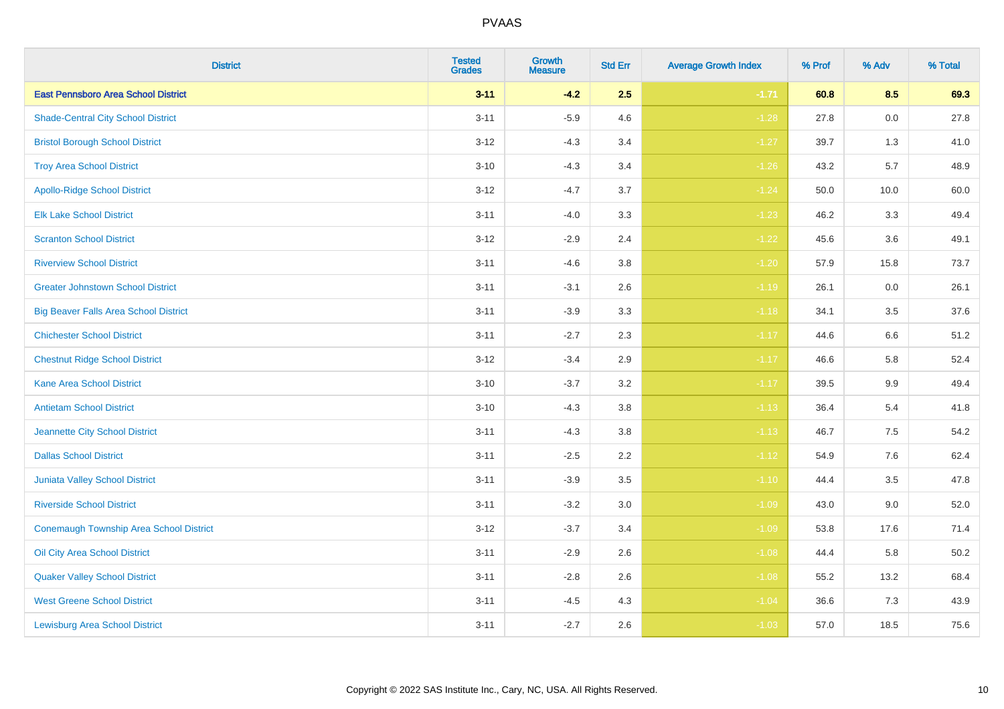| <b>District</b>                                | <b>Tested</b><br><b>Grades</b> | <b>Growth</b><br><b>Measure</b> | <b>Std Err</b> | <b>Average Growth Index</b> | % Prof | % Adv   | % Total |
|------------------------------------------------|--------------------------------|---------------------------------|----------------|-----------------------------|--------|---------|---------|
| <b>East Pennsboro Area School District</b>     | $3 - 11$                       | $-4.2$                          | 2.5            | $-1.71$                     | 60.8   | 8.5     | 69.3    |
| <b>Shade-Central City School District</b>      | $3 - 11$                       | $-5.9$                          | 4.6            | $-1.28$                     | 27.8   | $0.0\,$ | 27.8    |
| <b>Bristol Borough School District</b>         | $3 - 12$                       | $-4.3$                          | 3.4            | $-1.27$                     | 39.7   | 1.3     | 41.0    |
| <b>Troy Area School District</b>               | $3 - 10$                       | $-4.3$                          | 3.4            | $-1.26$                     | 43.2   | 5.7     | 48.9    |
| <b>Apollo-Ridge School District</b>            | $3 - 12$                       | $-4.7$                          | 3.7            | $-1.24$                     | 50.0   | 10.0    | 60.0    |
| <b>Elk Lake School District</b>                | $3 - 11$                       | $-4.0$                          | 3.3            | $-1.23$                     | 46.2   | 3.3     | 49.4    |
| <b>Scranton School District</b>                | $3 - 12$                       | $-2.9$                          | 2.4            | $-1.22$                     | 45.6   | 3.6     | 49.1    |
| <b>Riverview School District</b>               | $3 - 11$                       | $-4.6$                          | 3.8            | $-1.20$                     | 57.9   | 15.8    | 73.7    |
| <b>Greater Johnstown School District</b>       | $3 - 11$                       | $-3.1$                          | 2.6            | $-1.19$                     | 26.1   | 0.0     | 26.1    |
| <b>Big Beaver Falls Area School District</b>   | $3 - 11$                       | $-3.9$                          | 3.3            | $-1.18$                     | 34.1   | $3.5\,$ | 37.6    |
| <b>Chichester School District</b>              | $3 - 11$                       | $-2.7$                          | 2.3            | $-1.17$                     | 44.6   | 6.6     | 51.2    |
| <b>Chestnut Ridge School District</b>          | $3 - 12$                       | $-3.4$                          | 2.9            | $-1.17$                     | 46.6   | 5.8     | 52.4    |
| <b>Kane Area School District</b>               | $3 - 10$                       | $-3.7$                          | 3.2            | $-1.17$                     | 39.5   | $9.9\,$ | 49.4    |
| <b>Antietam School District</b>                | $3 - 10$                       | $-4.3$                          | 3.8            | $-1.13$                     | 36.4   | 5.4     | 41.8    |
| Jeannette City School District                 | $3 - 11$                       | $-4.3$                          | 3.8            | $-1.13$                     | 46.7   | 7.5     | 54.2    |
| <b>Dallas School District</b>                  | $3 - 11$                       | $-2.5$                          | 2.2            | $-1.12$                     | 54.9   | 7.6     | 62.4    |
| Juniata Valley School District                 | $3 - 11$                       | $-3.9$                          | 3.5            | $-1.10$                     | 44.4   | 3.5     | 47.8    |
| <b>Riverside School District</b>               | $3 - 11$                       | $-3.2$                          | 3.0            | $-1.09$                     | 43.0   | 9.0     | 52.0    |
| <b>Conemaugh Township Area School District</b> | $3 - 12$                       | $-3.7$                          | 3.4            | $-1.09$                     | 53.8   | 17.6    | 71.4    |
| Oil City Area School District                  | $3 - 11$                       | $-2.9$                          | 2.6            | $-1.08$                     | 44.4   | 5.8     | 50.2    |
| <b>Quaker Valley School District</b>           | $3 - 11$                       | $-2.8$                          | 2.6            | $-1.08$                     | 55.2   | 13.2    | 68.4    |
| <b>West Greene School District</b>             | $3 - 11$                       | $-4.5$                          | 4.3            | $-1.04$                     | 36.6   | 7.3     | 43.9    |
| <b>Lewisburg Area School District</b>          | $3 - 11$                       | $-2.7$                          | 2.6            | $-1.03$                     | 57.0   | 18.5    | 75.6    |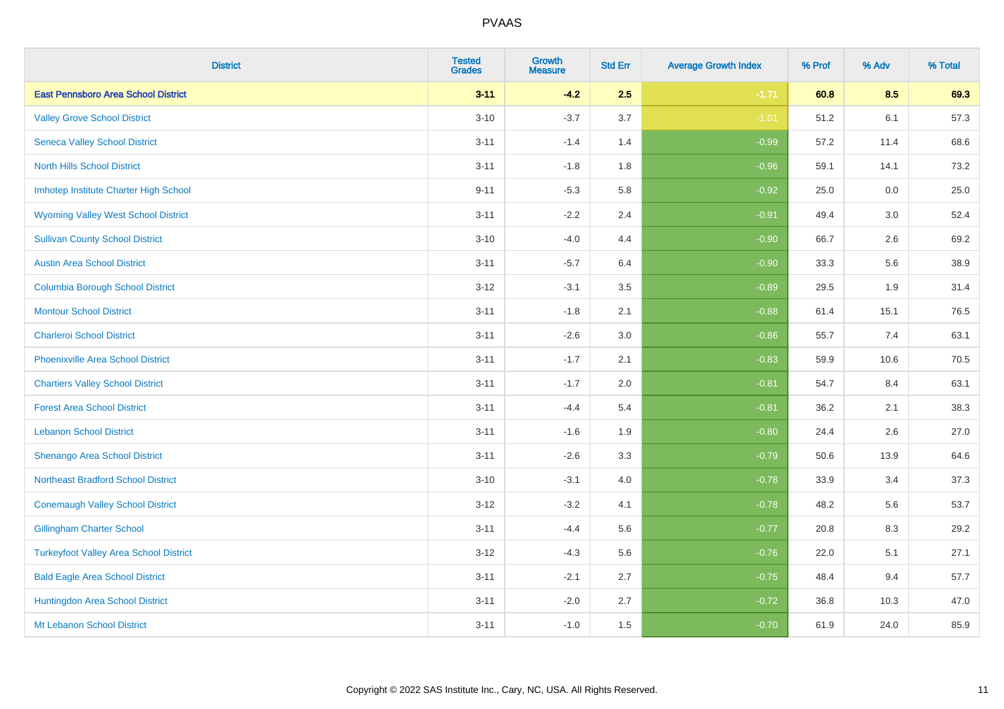| <b>District</b>                               | <b>Tested</b><br><b>Grades</b> | <b>Growth</b><br><b>Measure</b> | <b>Std Err</b> | <b>Average Growth Index</b> | % Prof | % Adv | % Total |
|-----------------------------------------------|--------------------------------|---------------------------------|----------------|-----------------------------|--------|-------|---------|
| <b>East Pennsboro Area School District</b>    | $3 - 11$                       | $-4.2$                          | 2.5            | $-1.71$                     | 60.8   | 8.5   | 69.3    |
| <b>Valley Grove School District</b>           | $3 - 10$                       | $-3.7$                          | 3.7            | $-1.01$                     | 51.2   | 6.1   | 57.3    |
| <b>Seneca Valley School District</b>          | $3 - 11$                       | $-1.4$                          | 1.4            | $-0.99$                     | 57.2   | 11.4  | 68.6    |
| <b>North Hills School District</b>            | $3 - 11$                       | $-1.8$                          | 1.8            | $-0.96$                     | 59.1   | 14.1  | 73.2    |
| Imhotep Institute Charter High School         | $9 - 11$                       | $-5.3$                          | 5.8            | $-0.92$                     | 25.0   | 0.0   | 25.0    |
| <b>Wyoming Valley West School District</b>    | $3 - 11$                       | $-2.2$                          | 2.4            | $-0.91$                     | 49.4   | 3.0   | 52.4    |
| <b>Sullivan County School District</b>        | $3 - 10$                       | $-4.0$                          | 4.4            | $-0.90$                     | 66.7   | 2.6   | 69.2    |
| <b>Austin Area School District</b>            | $3 - 11$                       | $-5.7$                          | 6.4            | $-0.90$                     | 33.3   | 5.6   | 38.9    |
| <b>Columbia Borough School District</b>       | $3 - 12$                       | $-3.1$                          | 3.5            | $-0.89$                     | 29.5   | 1.9   | 31.4    |
| <b>Montour School District</b>                | $3 - 11$                       | $-1.8$                          | 2.1            | $-0.88$                     | 61.4   | 15.1  | 76.5    |
| <b>Charleroi School District</b>              | $3 - 11$                       | $-2.6$                          | 3.0            | $-0.86$                     | 55.7   | 7.4   | 63.1    |
| <b>Phoenixville Area School District</b>      | $3 - 11$                       | $-1.7$                          | 2.1            | $-0.83$                     | 59.9   | 10.6  | 70.5    |
| <b>Chartiers Valley School District</b>       | $3 - 11$                       | $-1.7$                          | 2.0            | $-0.81$                     | 54.7   | 8.4   | 63.1    |
| <b>Forest Area School District</b>            | $3 - 11$                       | $-4.4$                          | 5.4            | $-0.81$                     | 36.2   | 2.1   | 38.3    |
| <b>Lebanon School District</b>                | $3 - 11$                       | $-1.6$                          | 1.9            | $-0.80$                     | 24.4   | 2.6   | 27.0    |
| Shenango Area School District                 | $3 - 11$                       | $-2.6$                          | 3.3            | $-0.79$                     | 50.6   | 13.9  | 64.6    |
| <b>Northeast Bradford School District</b>     | $3 - 10$                       | $-3.1$                          | 4.0            | $-0.78$                     | 33.9   | 3.4   | 37.3    |
| <b>Conemaugh Valley School District</b>       | $3 - 12$                       | $-3.2$                          | 4.1            | $-0.78$                     | 48.2   | 5.6   | 53.7    |
| <b>Gillingham Charter School</b>              | $3 - 11$                       | $-4.4$                          | 5.6            | $-0.77$                     | 20.8   | 8.3   | 29.2    |
| <b>Turkeyfoot Valley Area School District</b> | $3 - 12$                       | $-4.3$                          | 5.6            | $-0.76$                     | 22.0   | 5.1   | 27.1    |
| <b>Bald Eagle Area School District</b>        | $3 - 11$                       | $-2.1$                          | 2.7            | $-0.75$                     | 48.4   | 9.4   | 57.7    |
| Huntingdon Area School District               | $3 - 11$                       | $-2.0$                          | 2.7            | $-0.72$                     | 36.8   | 10.3  | 47.0    |
| Mt Lebanon School District                    | $3 - 11$                       | $-1.0$                          | 1.5            | $-0.70$                     | 61.9   | 24.0  | 85.9    |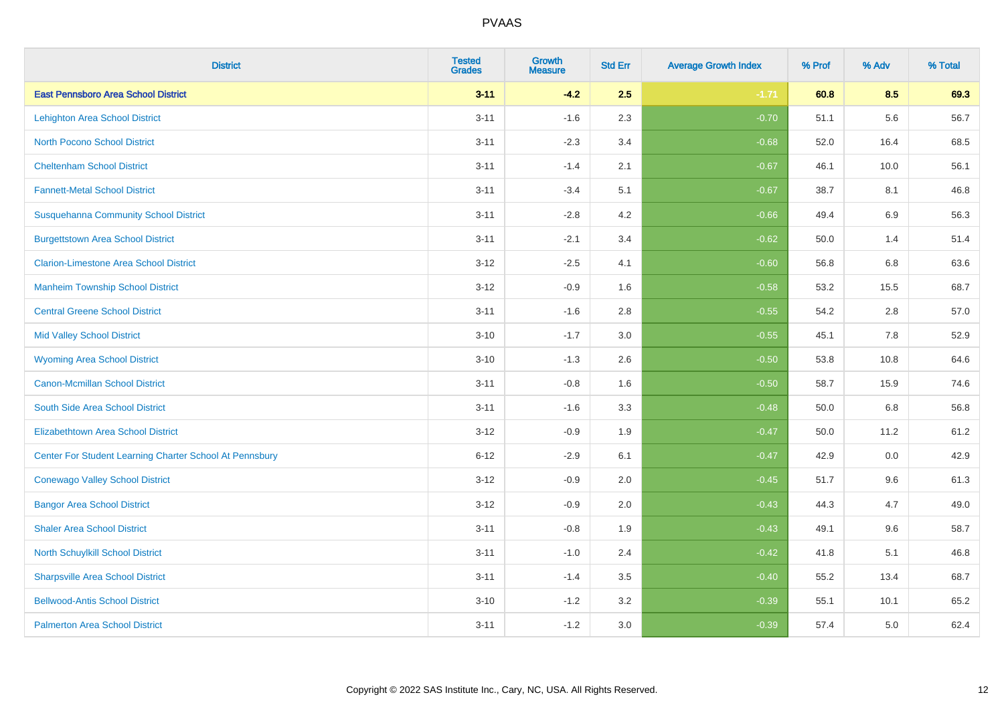| <b>District</b>                                         | <b>Tested</b><br><b>Grades</b> | <b>Growth</b><br><b>Measure</b> | <b>Std Err</b> | <b>Average Growth Index</b> | % Prof | % Adv | % Total |
|---------------------------------------------------------|--------------------------------|---------------------------------|----------------|-----------------------------|--------|-------|---------|
| <b>East Pennsboro Area School District</b>              | $3 - 11$                       | $-4.2$                          | 2.5            | $-1.71$                     | 60.8   | 8.5   | 69.3    |
| <b>Lehighton Area School District</b>                   | $3 - 11$                       | $-1.6$                          | 2.3            | $-0.70$                     | 51.1   | 5.6   | 56.7    |
| <b>North Pocono School District</b>                     | $3 - 11$                       | $-2.3$                          | 3.4            | $-0.68$                     | 52.0   | 16.4  | 68.5    |
| <b>Cheltenham School District</b>                       | $3 - 11$                       | $-1.4$                          | 2.1            | $-0.67$                     | 46.1   | 10.0  | 56.1    |
| <b>Fannett-Metal School District</b>                    | $3 - 11$                       | $-3.4$                          | 5.1            | $-0.67$                     | 38.7   | 8.1   | 46.8    |
| <b>Susquehanna Community School District</b>            | $3 - 11$                       | $-2.8$                          | 4.2            | $-0.66$                     | 49.4   | 6.9   | 56.3    |
| <b>Burgettstown Area School District</b>                | $3 - 11$                       | $-2.1$                          | 3.4            | $-0.62$                     | 50.0   | 1.4   | 51.4    |
| <b>Clarion-Limestone Area School District</b>           | $3 - 12$                       | $-2.5$                          | 4.1            | $-0.60$                     | 56.8   | 6.8   | 63.6    |
| <b>Manheim Township School District</b>                 | $3 - 12$                       | $-0.9$                          | 1.6            | $-0.58$                     | 53.2   | 15.5  | 68.7    |
| <b>Central Greene School District</b>                   | $3 - 11$                       | $-1.6$                          | 2.8            | $-0.55$                     | 54.2   | 2.8   | 57.0    |
| <b>Mid Valley School District</b>                       | $3 - 10$                       | $-1.7$                          | 3.0            | $-0.55$                     | 45.1   | 7.8   | 52.9    |
| <b>Wyoming Area School District</b>                     | $3 - 10$                       | $-1.3$                          | 2.6            | $-0.50$                     | 53.8   | 10.8  | 64.6    |
| Canon-Mcmillan School District                          | $3 - 11$                       | $-0.8$                          | 1.6            | $-0.50$                     | 58.7   | 15.9  | 74.6    |
| South Side Area School District                         | $3 - 11$                       | $-1.6$                          | 3.3            | $-0.48$                     | 50.0   | 6.8   | 56.8    |
| <b>Elizabethtown Area School District</b>               | $3 - 12$                       | $-0.9$                          | 1.9            | $-0.47$                     | 50.0   | 11.2  | 61.2    |
| Center For Student Learning Charter School At Pennsbury | $6 - 12$                       | $-2.9$                          | 6.1            | $-0.47$                     | 42.9   | 0.0   | 42.9    |
| <b>Conewago Valley School District</b>                  | $3 - 12$                       | $-0.9$                          | 2.0            | $-0.45$                     | 51.7   | 9.6   | 61.3    |
| <b>Bangor Area School District</b>                      | $3 - 12$                       | $-0.9$                          | 2.0            | $-0.43$                     | 44.3   | 4.7   | 49.0    |
| <b>Shaler Area School District</b>                      | $3 - 11$                       | $-0.8$                          | 1.9            | $-0.43$                     | 49.1   | 9.6   | 58.7    |
| North Schuylkill School District                        | $3 - 11$                       | $-1.0$                          | 2.4            | $-0.42$                     | 41.8   | 5.1   | 46.8    |
| <b>Sharpsville Area School District</b>                 | $3 - 11$                       | $-1.4$                          | 3.5            | $-0.40$                     | 55.2   | 13.4  | 68.7    |
| <b>Bellwood-Antis School District</b>                   | $3 - 10$                       | $-1.2$                          | 3.2            | $-0.39$                     | 55.1   | 10.1  | 65.2    |
| <b>Palmerton Area School District</b>                   | $3 - 11$                       | $-1.2$                          | 3.0            | $-0.39$                     | 57.4   | 5.0   | 62.4    |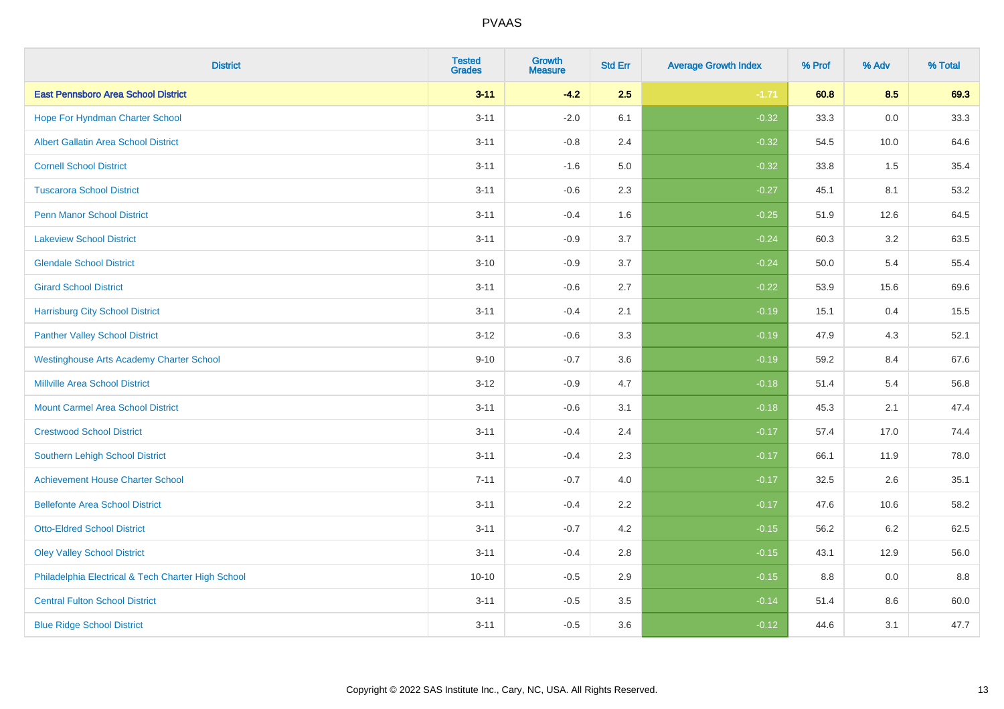| <b>District</b>                                    | <b>Tested</b><br><b>Grades</b> | <b>Growth</b><br><b>Measure</b> | <b>Std Err</b> | <b>Average Growth Index</b> | % Prof | % Adv   | % Total |
|----------------------------------------------------|--------------------------------|---------------------------------|----------------|-----------------------------|--------|---------|---------|
| <b>East Pennsboro Area School District</b>         | $3 - 11$                       | $-4.2$                          | 2.5            | $-1.71$                     | 60.8   | 8.5     | 69.3    |
| Hope For Hyndman Charter School                    | $3 - 11$                       | $-2.0$                          | 6.1            | $-0.32$                     | 33.3   | 0.0     | 33.3    |
| <b>Albert Gallatin Area School District</b>        | $3 - 11$                       | $-0.8$                          | 2.4            | $-0.32$                     | 54.5   | 10.0    | 64.6    |
| <b>Cornell School District</b>                     | $3 - 11$                       | $-1.6$                          | 5.0            | $-0.32$                     | 33.8   | 1.5     | 35.4    |
| <b>Tuscarora School District</b>                   | $3 - 11$                       | $-0.6$                          | 2.3            | $-0.27$                     | 45.1   | 8.1     | 53.2    |
| <b>Penn Manor School District</b>                  | $3 - 11$                       | $-0.4$                          | 1.6            | $-0.25$                     | 51.9   | 12.6    | 64.5    |
| <b>Lakeview School District</b>                    | $3 - 11$                       | $-0.9$                          | 3.7            | $-0.24$                     | 60.3   | 3.2     | 63.5    |
| <b>Glendale School District</b>                    | $3 - 10$                       | $-0.9$                          | 3.7            | $-0.24$                     | 50.0   | 5.4     | 55.4    |
| <b>Girard School District</b>                      | $3 - 11$                       | $-0.6$                          | 2.7            | $-0.22$                     | 53.9   | 15.6    | 69.6    |
| <b>Harrisburg City School District</b>             | $3 - 11$                       | $-0.4$                          | 2.1            | $-0.19$                     | 15.1   | 0.4     | 15.5    |
| <b>Panther Valley School District</b>              | $3 - 12$                       | $-0.6$                          | 3.3            | $-0.19$                     | 47.9   | 4.3     | 52.1    |
| <b>Westinghouse Arts Academy Charter School</b>    | $9 - 10$                       | $-0.7$                          | 3.6            | $-0.19$                     | 59.2   | 8.4     | 67.6    |
| <b>Millville Area School District</b>              | $3 - 12$                       | $-0.9$                          | 4.7            | $-0.18$                     | 51.4   | 5.4     | 56.8    |
| <b>Mount Carmel Area School District</b>           | $3 - 11$                       | $-0.6$                          | 3.1            | $-0.18$                     | 45.3   | 2.1     | 47.4    |
| <b>Crestwood School District</b>                   | $3 - 11$                       | $-0.4$                          | 2.4            | $-0.17$                     | 57.4   | 17.0    | 74.4    |
| <b>Southern Lehigh School District</b>             | $3 - 11$                       | $-0.4$                          | 2.3            | $-0.17$                     | 66.1   | 11.9    | 78.0    |
| <b>Achievement House Charter School</b>            | $7 - 11$                       | $-0.7$                          | 4.0            | $-0.17$                     | 32.5   | $2.6\,$ | 35.1    |
| <b>Bellefonte Area School District</b>             | $3 - 11$                       | $-0.4$                          | 2.2            | $-0.17$                     | 47.6   | 10.6    | 58.2    |
| <b>Otto-Eldred School District</b>                 | $3 - 11$                       | $-0.7$                          | 4.2            | $-0.15$                     | 56.2   | $6.2\,$ | 62.5    |
| <b>Oley Valley School District</b>                 | $3 - 11$                       | $-0.4$                          | 2.8            | $-0.15$                     | 43.1   | 12.9    | 56.0    |
| Philadelphia Electrical & Tech Charter High School | $10 - 10$                      | $-0.5$                          | 2.9            | $-0.15$                     | 8.8    | 0.0     | 8.8     |
| <b>Central Fulton School District</b>              | $3 - 11$                       | $-0.5$                          | 3.5            | $-0.14$                     | 51.4   | 8.6     | 60.0    |
| <b>Blue Ridge School District</b>                  | $3 - 11$                       | $-0.5$                          | 3.6            | $-0.12$                     | 44.6   | 3.1     | 47.7    |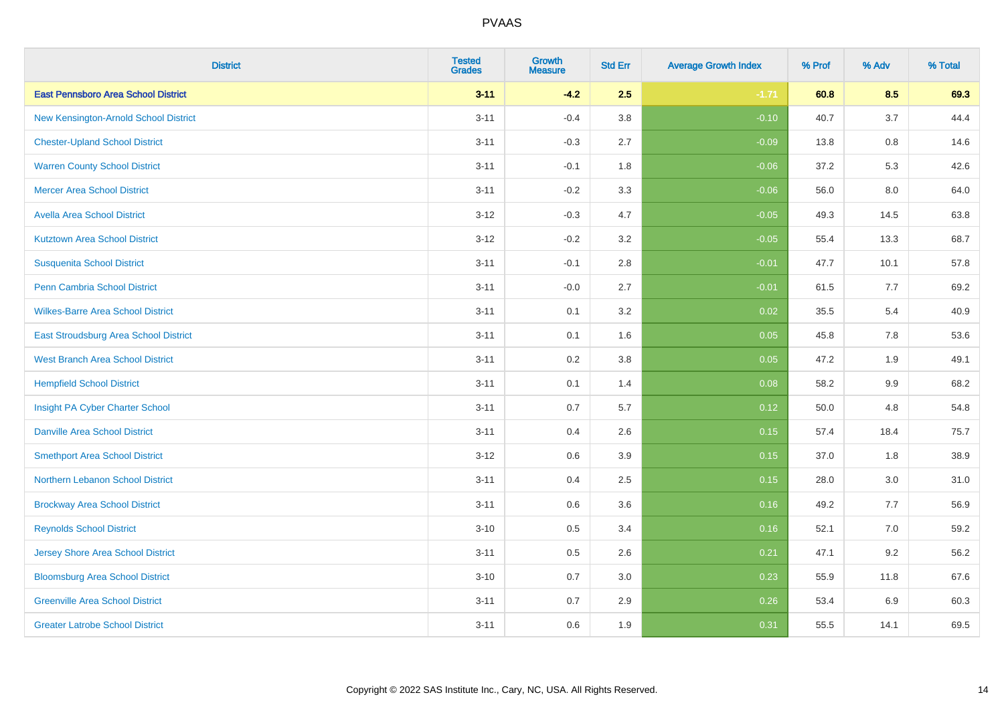| <b>District</b>                            | <b>Tested</b><br><b>Grades</b> | <b>Growth</b><br><b>Measure</b> | <b>Std Err</b> | <b>Average Growth Index</b> | % Prof | % Adv   | % Total |
|--------------------------------------------|--------------------------------|---------------------------------|----------------|-----------------------------|--------|---------|---------|
| <b>East Pennsboro Area School District</b> | $3 - 11$                       | $-4.2$                          | 2.5            | $-1.71$                     | 60.8   | 8.5     | 69.3    |
| New Kensington-Arnold School District      | $3 - 11$                       | $-0.4$                          | 3.8            | $-0.10$                     | 40.7   | $3.7\,$ | 44.4    |
| <b>Chester-Upland School District</b>      | $3 - 11$                       | $-0.3$                          | 2.7            | $-0.09$                     | 13.8   | 0.8     | 14.6    |
| <b>Warren County School District</b>       | $3 - 11$                       | $-0.1$                          | 1.8            | $-0.06$                     | 37.2   | 5.3     | 42.6    |
| <b>Mercer Area School District</b>         | $3 - 11$                       | $-0.2$                          | 3.3            | $-0.06$                     | 56.0   | 8.0     | 64.0    |
| <b>Avella Area School District</b>         | $3 - 12$                       | $-0.3$                          | 4.7            | $-0.05$                     | 49.3   | 14.5    | 63.8    |
| <b>Kutztown Area School District</b>       | $3 - 12$                       | $-0.2$                          | 3.2            | $-0.05$                     | 55.4   | 13.3    | 68.7    |
| <b>Susquenita School District</b>          | $3 - 11$                       | $-0.1$                          | 2.8            | $-0.01$                     | 47.7   | 10.1    | 57.8    |
| Penn Cambria School District               | $3 - 11$                       | $-0.0$                          | 2.7            | $-0.01$                     | 61.5   | 7.7     | 69.2    |
| <b>Wilkes-Barre Area School District</b>   | $3 - 11$                       | 0.1                             | 3.2            | 0.02                        | 35.5   | 5.4     | 40.9    |
| East Stroudsburg Area School District      | $3 - 11$                       | 0.1                             | 1.6            | 0.05                        | 45.8   | 7.8     | 53.6    |
| <b>West Branch Area School District</b>    | $3 - 11$                       | 0.2                             | 3.8            | 0.05                        | 47.2   | 1.9     | 49.1    |
| <b>Hempfield School District</b>           | $3 - 11$                       | 0.1                             | 1.4            | 0.08                        | 58.2   | 9.9     | 68.2    |
| Insight PA Cyber Charter School            | $3 - 11$                       | 0.7                             | 5.7            | 0.12                        | 50.0   | 4.8     | 54.8    |
| <b>Danville Area School District</b>       | $3 - 11$                       | 0.4                             | 2.6            | 0.15                        | 57.4   | 18.4    | 75.7    |
| <b>Smethport Area School District</b>      | $3 - 12$                       | 0.6                             | 3.9            | 0.15                        | 37.0   | 1.8     | 38.9    |
| Northern Lebanon School District           | $3 - 11$                       | 0.4                             | 2.5            | 0.15                        | 28.0   | 3.0     | 31.0    |
| <b>Brockway Area School District</b>       | $3 - 11$                       | 0.6                             | 3.6            | 0.16                        | 49.2   | 7.7     | 56.9    |
| <b>Reynolds School District</b>            | $3 - 10$                       | 0.5                             | 3.4            | 0.16                        | 52.1   | 7.0     | 59.2    |
| Jersey Shore Area School District          | $3 - 11$                       | 0.5                             | 2.6            | 0.21                        | 47.1   | 9.2     | 56.2    |
| <b>Bloomsburg Area School District</b>     | $3 - 10$                       | 0.7                             | 3.0            | 0.23                        | 55.9   | 11.8    | 67.6    |
| <b>Greenville Area School District</b>     | $3 - 11$                       | 0.7                             | 2.9            | 0.26                        | 53.4   | 6.9     | 60.3    |
| <b>Greater Latrobe School District</b>     | $3 - 11$                       | 0.6                             | 1.9            | 0.31                        | 55.5   | 14.1    | 69.5    |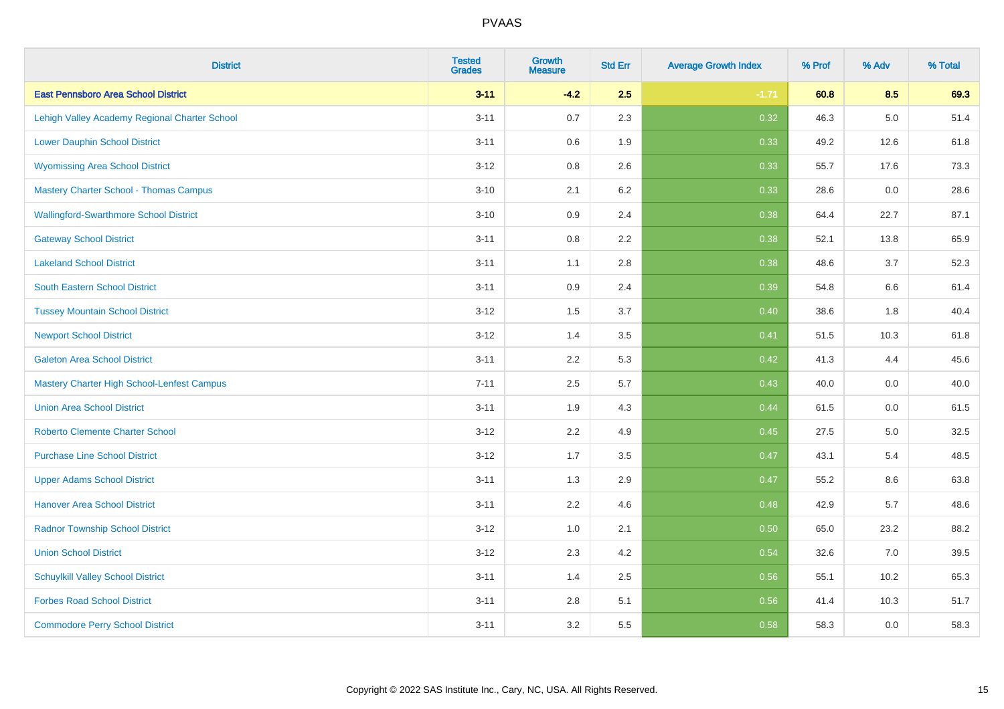| <b>District</b>                               | <b>Tested</b><br><b>Grades</b> | Growth<br><b>Measure</b> | <b>Std Err</b> | <b>Average Growth Index</b> | % Prof | % Adv   | % Total |
|-----------------------------------------------|--------------------------------|--------------------------|----------------|-----------------------------|--------|---------|---------|
| <b>East Pennsboro Area School District</b>    | $3 - 11$                       | $-4.2$                   | 2.5            | $-1.71$                     | 60.8   | 8.5     | 69.3    |
| Lehigh Valley Academy Regional Charter School | $3 - 11$                       | 0.7                      | 2.3            | 0.32                        | 46.3   | $5.0\,$ | 51.4    |
| <b>Lower Dauphin School District</b>          | $3 - 11$                       | 0.6                      | 1.9            | 0.33                        | 49.2   | 12.6    | 61.8    |
| <b>Wyomissing Area School District</b>        | $3 - 12$                       | 0.8                      | 2.6            | 0.33                        | 55.7   | 17.6    | 73.3    |
| <b>Mastery Charter School - Thomas Campus</b> | $3 - 10$                       | 2.1                      | 6.2            | 0.33                        | 28.6   | 0.0     | 28.6    |
| <b>Wallingford-Swarthmore School District</b> | $3 - 10$                       | 0.9                      | 2.4            | 0.38                        | 64.4   | 22.7    | 87.1    |
| <b>Gateway School District</b>                | $3 - 11$                       | $0.8\,$                  | 2.2            | 0.38                        | 52.1   | 13.8    | 65.9    |
| <b>Lakeland School District</b>               | $3 - 11$                       | 1.1                      | 2.8            | 0.38                        | 48.6   | 3.7     | 52.3    |
| South Eastern School District                 | $3 - 11$                       | 0.9                      | 2.4            | 0.39                        | 54.8   | $6.6\,$ | 61.4    |
| <b>Tussey Mountain School District</b>        | $3 - 12$                       | 1.5                      | 3.7            | 0.40                        | 38.6   | 1.8     | 40.4    |
| <b>Newport School District</b>                | $3 - 12$                       | 1.4                      | 3.5            | 0.41                        | 51.5   | 10.3    | 61.8    |
| <b>Galeton Area School District</b>           | $3 - 11$                       | 2.2                      | 5.3            | 0.42                        | 41.3   | 4.4     | 45.6    |
| Mastery Charter High School-Lenfest Campus    | $7 - 11$                       | 2.5                      | 5.7            | 0.43                        | 40.0   | 0.0     | 40.0    |
| <b>Union Area School District</b>             | $3 - 11$                       | 1.9                      | 4.3            | 0.44                        | 61.5   | 0.0     | 61.5    |
| <b>Roberto Clemente Charter School</b>        | $3 - 12$                       | 2.2                      | 4.9            | 0.45                        | 27.5   | 5.0     | 32.5    |
| <b>Purchase Line School District</b>          | $3 - 12$                       | 1.7                      | 3.5            | 0.47                        | 43.1   | 5.4     | 48.5    |
| <b>Upper Adams School District</b>            | $3 - 11$                       | 1.3                      | 2.9            | 0.47                        | 55.2   | 8.6     | 63.8    |
| <b>Hanover Area School District</b>           | $3 - 11$                       | 2.2                      | 4.6            | 0.48                        | 42.9   | 5.7     | 48.6    |
| <b>Radnor Township School District</b>        | $3 - 12$                       | 1.0                      | 2.1            | 0.50                        | 65.0   | 23.2    | 88.2    |
| <b>Union School District</b>                  | $3 - 12$                       | 2.3                      | 4.2            | 0.54                        | 32.6   | 7.0     | 39.5    |
| <b>Schuylkill Valley School District</b>      | $3 - 11$                       | 1.4                      | 2.5            | 0.56                        | 55.1   | 10.2    | 65.3    |
| <b>Forbes Road School District</b>            | $3 - 11$                       | $2.8\,$                  | 5.1            | 0.56                        | 41.4   | 10.3    | 51.7    |
| <b>Commodore Perry School District</b>        | $3 - 11$                       | 3.2                      | 5.5            | 0.58                        | 58.3   | 0.0     | 58.3    |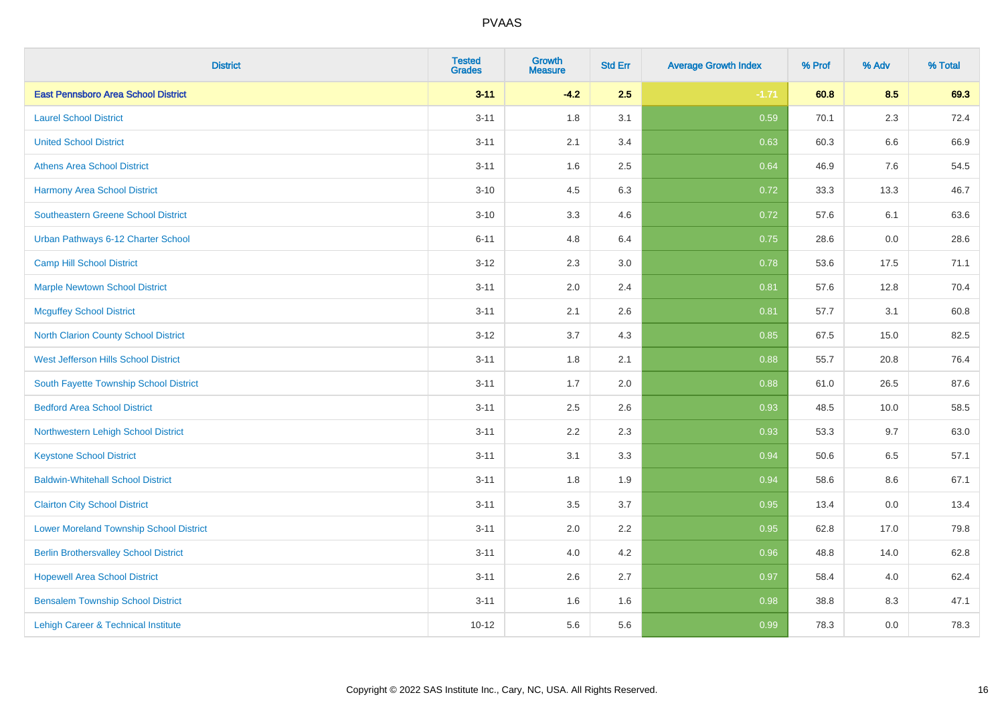| <b>District</b>                                | <b>Tested</b><br><b>Grades</b> | Growth<br><b>Measure</b> | <b>Std Err</b> | <b>Average Growth Index</b> | % Prof | % Adv   | % Total |
|------------------------------------------------|--------------------------------|--------------------------|----------------|-----------------------------|--------|---------|---------|
| <b>East Pennsboro Area School District</b>     | $3 - 11$                       | $-4.2$                   | 2.5            | $-1.71$                     | 60.8   | 8.5     | 69.3    |
| <b>Laurel School District</b>                  | $3 - 11$                       | 1.8                      | 3.1            | 0.59                        | 70.1   | 2.3     | 72.4    |
| <b>United School District</b>                  | $3 - 11$                       | 2.1                      | 3.4            | 0.63                        | 60.3   | 6.6     | 66.9    |
| <b>Athens Area School District</b>             | $3 - 11$                       | 1.6                      | 2.5            | 0.64                        | 46.9   | $7.6\,$ | 54.5    |
| <b>Harmony Area School District</b>            | $3 - 10$                       | 4.5                      | 6.3            | 0.72                        | 33.3   | 13.3    | 46.7    |
| <b>Southeastern Greene School District</b>     | $3 - 10$                       | 3.3                      | 4.6            | 0.72                        | 57.6   | 6.1     | 63.6    |
| Urban Pathways 6-12 Charter School             | $6 - 11$                       | 4.8                      | 6.4            | 0.75                        | 28.6   | $0.0\,$ | 28.6    |
| <b>Camp Hill School District</b>               | $3 - 12$                       | 2.3                      | 3.0            | 0.78                        | 53.6   | 17.5    | 71.1    |
| <b>Marple Newtown School District</b>          | $3 - 11$                       | 2.0                      | 2.4            | 0.81                        | 57.6   | 12.8    | 70.4    |
| <b>Mcguffey School District</b>                | $3 - 11$                       | 2.1                      | 2.6            | 0.81                        | 57.7   | 3.1     | 60.8    |
| North Clarion County School District           | $3 - 12$                       | 3.7                      | 4.3            | 0.85                        | 67.5   | 15.0    | 82.5    |
| <b>West Jefferson Hills School District</b>    | $3 - 11$                       | 1.8                      | 2.1            | 0.88                        | 55.7   | 20.8    | 76.4    |
| South Fayette Township School District         | $3 - 11$                       | 1.7                      | 2.0            | 0.88                        | 61.0   | 26.5    | 87.6    |
| <b>Bedford Area School District</b>            | $3 - 11$                       | 2.5                      | 2.6            | 0.93                        | 48.5   | 10.0    | 58.5    |
| Northwestern Lehigh School District            | $3 - 11$                       | 2.2                      | 2.3            | 0.93                        | 53.3   | 9.7     | 63.0    |
| <b>Keystone School District</b>                | $3 - 11$                       | 3.1                      | 3.3            | 0.94                        | 50.6   | 6.5     | 57.1    |
| <b>Baldwin-Whitehall School District</b>       | $3 - 11$                       | 1.8                      | 1.9            | 0.94                        | 58.6   | 8.6     | 67.1    |
| <b>Clairton City School District</b>           | $3 - 11$                       | 3.5                      | 3.7            | 0.95                        | 13.4   | 0.0     | 13.4    |
| <b>Lower Moreland Township School District</b> | $3 - 11$                       | 2.0                      | 2.2            | 0.95                        | 62.8   | 17.0    | 79.8    |
| <b>Berlin Brothersvalley School District</b>   | $3 - 11$                       | 4.0                      | 4.2            | 0.96                        | 48.8   | 14.0    | 62.8    |
| <b>Hopewell Area School District</b>           | $3 - 11$                       | 2.6                      | 2.7            | 0.97                        | 58.4   | 4.0     | 62.4    |
| <b>Bensalem Township School District</b>       | $3 - 11$                       | 1.6                      | 1.6            | 0.98                        | 38.8   | 8.3     | 47.1    |
| Lehigh Career & Technical Institute            | $10 - 12$                      | 5.6                      | 5.6            | 0.99                        | 78.3   | 0.0     | 78.3    |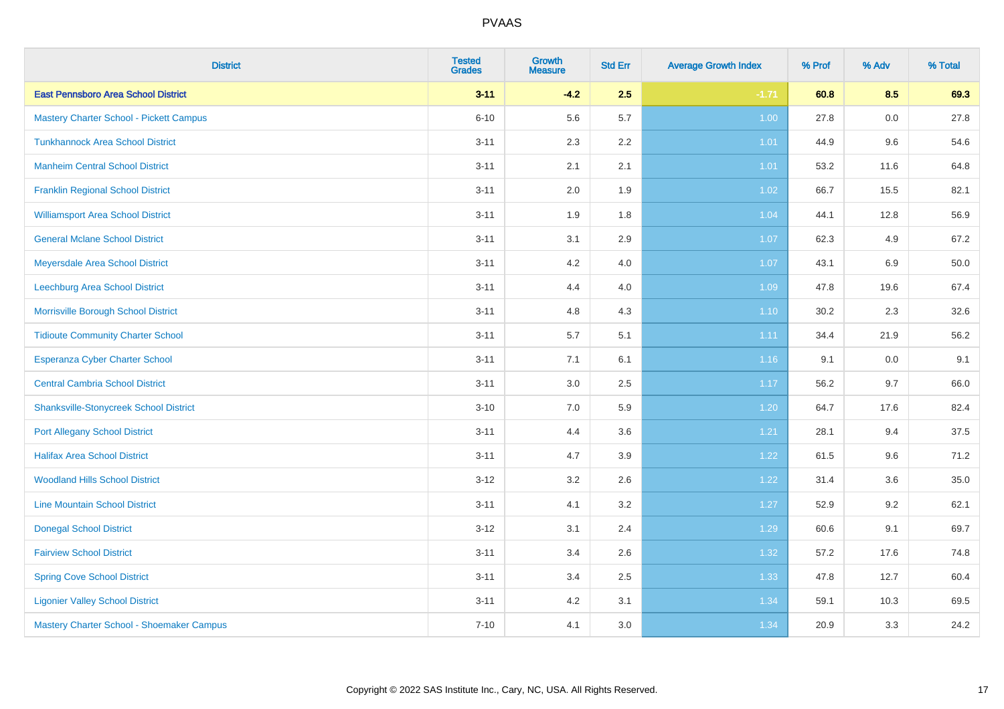| <b>District</b>                                | <b>Tested</b><br><b>Grades</b> | <b>Growth</b><br><b>Measure</b> | <b>Std Err</b> | <b>Average Growth Index</b> | % Prof | % Adv | % Total |
|------------------------------------------------|--------------------------------|---------------------------------|----------------|-----------------------------|--------|-------|---------|
| <b>East Pennsboro Area School District</b>     | $3 - 11$                       | $-4.2$                          | 2.5            | $-1.71$                     | 60.8   | 8.5   | 69.3    |
| <b>Mastery Charter School - Pickett Campus</b> | $6 - 10$                       | 5.6                             | 5.7            | 1.00                        | 27.8   | 0.0   | 27.8    |
| <b>Tunkhannock Area School District</b>        | $3 - 11$                       | 2.3                             | 2.2            | 1.01                        | 44.9   | 9.6   | 54.6    |
| <b>Manheim Central School District</b>         | $3 - 11$                       | 2.1                             | 2.1            | 1.01                        | 53.2   | 11.6  | 64.8    |
| <b>Franklin Regional School District</b>       | $3 - 11$                       | 2.0                             | 1.9            | 1.02                        | 66.7   | 15.5  | 82.1    |
| <b>Williamsport Area School District</b>       | $3 - 11$                       | 1.9                             | 1.8            | 1.04                        | 44.1   | 12.8  | 56.9    |
| <b>General Mclane School District</b>          | $3 - 11$                       | 3.1                             | 2.9            | 1.07                        | 62.3   | 4.9   | 67.2    |
| Meyersdale Area School District                | $3 - 11$                       | 4.2                             | 4.0            | 1.07                        | 43.1   | 6.9   | 50.0    |
| Leechburg Area School District                 | $3 - 11$                       | 4.4                             | 4.0            | 1.09                        | 47.8   | 19.6  | 67.4    |
| Morrisville Borough School District            | $3 - 11$                       | 4.8                             | 4.3            | $1.10$                      | 30.2   | 2.3   | 32.6    |
| <b>Tidioute Community Charter School</b>       | $3 - 11$                       | 5.7                             | 5.1            | 1.11                        | 34.4   | 21.9  | 56.2    |
| <b>Esperanza Cyber Charter School</b>          | $3 - 11$                       | 7.1                             | 6.1            | 1.16                        | 9.1    | 0.0   | 9.1     |
| <b>Central Cambria School District</b>         | $3 - 11$                       | 3.0                             | 2.5            | 1.17                        | 56.2   | 9.7   | 66.0    |
| <b>Shanksville-Stonycreek School District</b>  | $3 - 10$                       | 7.0                             | 5.9            | 1.20                        | 64.7   | 17.6  | 82.4    |
| <b>Port Allegany School District</b>           | $3 - 11$                       | 4.4                             | 3.6            | 1.21                        | 28.1   | 9.4   | 37.5    |
| <b>Halifax Area School District</b>            | $3 - 11$                       | 4.7                             | 3.9            | 1.22                        | 61.5   | 9.6   | 71.2    |
| <b>Woodland Hills School District</b>          | $3 - 12$                       | 3.2                             | 2.6            | 1.22                        | 31.4   | 3.6   | 35.0    |
| <b>Line Mountain School District</b>           | $3 - 11$                       | 4.1                             | 3.2            | 1.27                        | 52.9   | 9.2   | 62.1    |
| <b>Donegal School District</b>                 | $3 - 12$                       | 3.1                             | 2.4            | 1.29                        | 60.6   | 9.1   | 69.7    |
| <b>Fairview School District</b>                | $3 - 11$                       | 3.4                             | 2.6            | 1.32                        | 57.2   | 17.6  | 74.8    |
| <b>Spring Cove School District</b>             | $3 - 11$                       | 3.4                             | 2.5            | 1.33                        | 47.8   | 12.7  | 60.4    |
| <b>Ligonier Valley School District</b>         | $3 - 11$                       | 4.2                             | 3.1            | 1.34                        | 59.1   | 10.3  | 69.5    |
| Mastery Charter School - Shoemaker Campus      | $7 - 10$                       | 4.1                             | 3.0            | 1.34                        | 20.9   | 3.3   | 24.2    |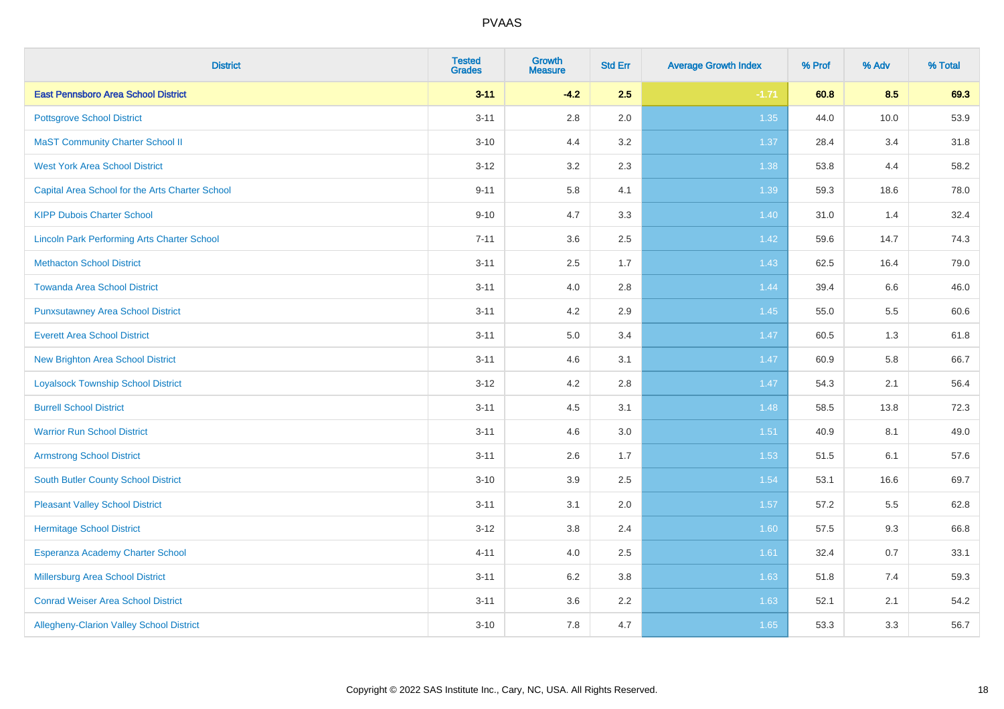| <b>District</b>                                    | <b>Tested</b><br><b>Grades</b> | <b>Growth</b><br><b>Measure</b> | <b>Std Err</b> | <b>Average Growth Index</b> | % Prof | % Adv | % Total |
|----------------------------------------------------|--------------------------------|---------------------------------|----------------|-----------------------------|--------|-------|---------|
| <b>East Pennsboro Area School District</b>         | $3 - 11$                       | $-4.2$                          | 2.5            | $-1.71$                     | 60.8   | 8.5   | 69.3    |
| <b>Pottsgrove School District</b>                  | $3 - 11$                       | $2.8\,$                         | 2.0            | 1.35                        | 44.0   | 10.0  | 53.9    |
| <b>MaST Community Charter School II</b>            | $3 - 10$                       | 4.4                             | 3.2            | 1.37                        | 28.4   | 3.4   | 31.8    |
| <b>West York Area School District</b>              | $3 - 12$                       | 3.2                             | 2.3            | 1.38                        | 53.8   | 4.4   | 58.2    |
| Capital Area School for the Arts Charter School    | $9 - 11$                       | 5.8                             | 4.1            | 1.39                        | 59.3   | 18.6  | 78.0    |
| <b>KIPP Dubois Charter School</b>                  | $9 - 10$                       | 4.7                             | 3.3            | 1.40                        | 31.0   | 1.4   | 32.4    |
| <b>Lincoln Park Performing Arts Charter School</b> | $7 - 11$                       | 3.6                             | 2.5            | 1.42                        | 59.6   | 14.7  | 74.3    |
| <b>Methacton School District</b>                   | $3 - 11$                       | 2.5                             | 1.7            | 1.43                        | 62.5   | 16.4  | 79.0    |
| <b>Towanda Area School District</b>                | $3 - 11$                       | 4.0                             | 2.8            | 1.44                        | 39.4   | 6.6   | 46.0    |
| <b>Punxsutawney Area School District</b>           | $3 - 11$                       | 4.2                             | 2.9            | $1.45$                      | 55.0   | 5.5   | 60.6    |
| <b>Everett Area School District</b>                | $3 - 11$                       | 5.0                             | 3.4            | 1.47                        | 60.5   | 1.3   | 61.8    |
| <b>New Brighton Area School District</b>           | $3 - 11$                       | 4.6                             | 3.1            | $1.47$                      | 60.9   | 5.8   | 66.7    |
| <b>Loyalsock Township School District</b>          | $3 - 12$                       | 4.2                             | 2.8            | 1.47                        | 54.3   | 2.1   | 56.4    |
| <b>Burrell School District</b>                     | $3 - 11$                       | 4.5                             | 3.1            | 1.48                        | 58.5   | 13.8  | 72.3    |
| <b>Warrior Run School District</b>                 | $3 - 11$                       | 4.6                             | 3.0            | 1.51                        | 40.9   | 8.1   | 49.0    |
| <b>Armstrong School District</b>                   | $3 - 11$                       | 2.6                             | 1.7            | 1.53                        | 51.5   | 6.1   | 57.6    |
| South Butler County School District                | $3 - 10$                       | 3.9                             | 2.5            | 1.54                        | 53.1   | 16.6  | 69.7    |
| <b>Pleasant Valley School District</b>             | $3 - 11$                       | 3.1                             | 2.0            | 1.57                        | 57.2   | 5.5   | 62.8    |
| <b>Hermitage School District</b>                   | $3 - 12$                       | $3.8\,$                         | 2.4            | 1.60                        | 57.5   | 9.3   | 66.8    |
| Esperanza Academy Charter School                   | $4 - 11$                       | 4.0                             | 2.5            | 1.61                        | 32.4   | 0.7   | 33.1    |
| <b>Millersburg Area School District</b>            | $3 - 11$                       | 6.2                             | 3.8            | 1.63                        | 51.8   | 7.4   | 59.3    |
| <b>Conrad Weiser Area School District</b>          | $3 - 11$                       | 3.6                             | 2.2            | 1.63                        | 52.1   | 2.1   | 54.2    |
| Allegheny-Clarion Valley School District           | $3 - 10$                       | 7.8                             | 4.7            | 1.65                        | 53.3   | 3.3   | 56.7    |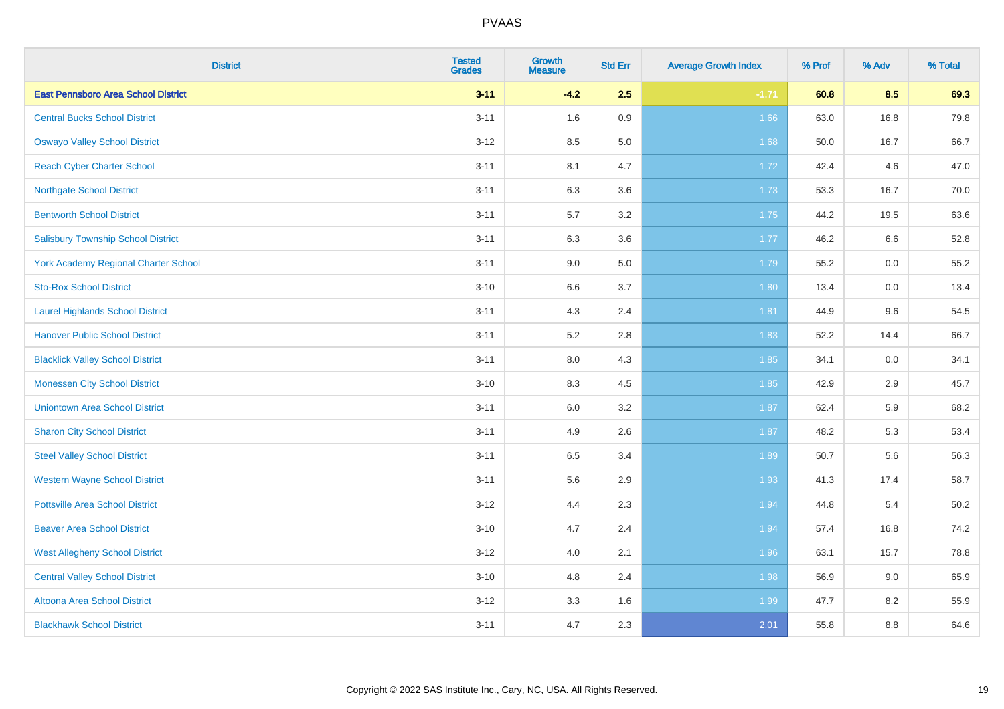| <b>District</b>                             | <b>Tested</b><br><b>Grades</b> | <b>Growth</b><br><b>Measure</b> | <b>Std Err</b> | <b>Average Growth Index</b> | % Prof | % Adv | % Total |
|---------------------------------------------|--------------------------------|---------------------------------|----------------|-----------------------------|--------|-------|---------|
| <b>East Pennsboro Area School District</b>  | $3 - 11$                       | $-4.2$                          | 2.5            | $-1.71$                     | 60.8   | 8.5   | 69.3    |
| <b>Central Bucks School District</b>        | $3 - 11$                       | 1.6                             | 0.9            | 1.66                        | 63.0   | 16.8  | 79.8    |
| <b>Oswayo Valley School District</b>        | $3 - 12$                       | 8.5                             | 5.0            | 1.68                        | 50.0   | 16.7  | 66.7    |
| <b>Reach Cyber Charter School</b>           | $3 - 11$                       | 8.1                             | 4.7            | 1.72                        | 42.4   | 4.6   | 47.0    |
| <b>Northgate School District</b>            | $3 - 11$                       | 6.3                             | 3.6            | 1.73                        | 53.3   | 16.7  | 70.0    |
| <b>Bentworth School District</b>            | $3 - 11$                       | 5.7                             | 3.2            | 1.75                        | 44.2   | 19.5  | 63.6    |
| <b>Salisbury Township School District</b>   | $3 - 11$                       | 6.3                             | 3.6            | 1.77                        | 46.2   | 6.6   | 52.8    |
| <b>York Academy Regional Charter School</b> | $3 - 11$                       | 9.0                             | 5.0            | 1.79                        | 55.2   | 0.0   | 55.2    |
| <b>Sto-Rox School District</b>              | $3 - 10$                       | 6.6                             | 3.7            | 1.80                        | 13.4   | 0.0   | 13.4    |
| <b>Laurel Highlands School District</b>     | $3 - 11$                       | 4.3                             | 2.4            | 1.81                        | 44.9   | 9.6   | 54.5    |
| <b>Hanover Public School District</b>       | $3 - 11$                       | 5.2                             | 2.8            | 1.83                        | 52.2   | 14.4  | 66.7    |
| <b>Blacklick Valley School District</b>     | $3 - 11$                       | $8.0\,$                         | 4.3            | 1.85                        | 34.1   | 0.0   | 34.1    |
| <b>Monessen City School District</b>        | $3 - 10$                       | 8.3                             | 4.5            | 1.85                        | 42.9   | 2.9   | 45.7    |
| <b>Uniontown Area School District</b>       | $3 - 11$                       | 6.0                             | 3.2            | 1.87                        | 62.4   | 5.9   | 68.2    |
| <b>Sharon City School District</b>          | $3 - 11$                       | 4.9                             | 2.6            | 1.87                        | 48.2   | 5.3   | 53.4    |
| <b>Steel Valley School District</b>         | $3 - 11$                       | 6.5                             | 3.4            | 1.89                        | 50.7   | 5.6   | 56.3    |
| <b>Western Wayne School District</b>        | $3 - 11$                       | 5.6                             | 2.9            | 1.93                        | 41.3   | 17.4  | 58.7    |
| <b>Pottsville Area School District</b>      | $3 - 12$                       | 4.4                             | 2.3            | 1.94                        | 44.8   | 5.4   | 50.2    |
| <b>Beaver Area School District</b>          | $3 - 10$                       | 4.7                             | 2.4            | 1.94                        | 57.4   | 16.8  | 74.2    |
| <b>West Allegheny School District</b>       | $3 - 12$                       | 4.0                             | 2.1            | 1.96                        | 63.1   | 15.7  | 78.8    |
| <b>Central Valley School District</b>       | $3 - 10$                       | 4.8                             | 2.4            | 1.98                        | 56.9   | 9.0   | 65.9    |
| Altoona Area School District                | $3 - 12$                       | 3.3                             | 1.6            | 1.99                        | 47.7   | 8.2   | 55.9    |
| <b>Blackhawk School District</b>            | $3 - 11$                       | 4.7                             | 2.3            | 2.01                        | 55.8   | 8.8   | 64.6    |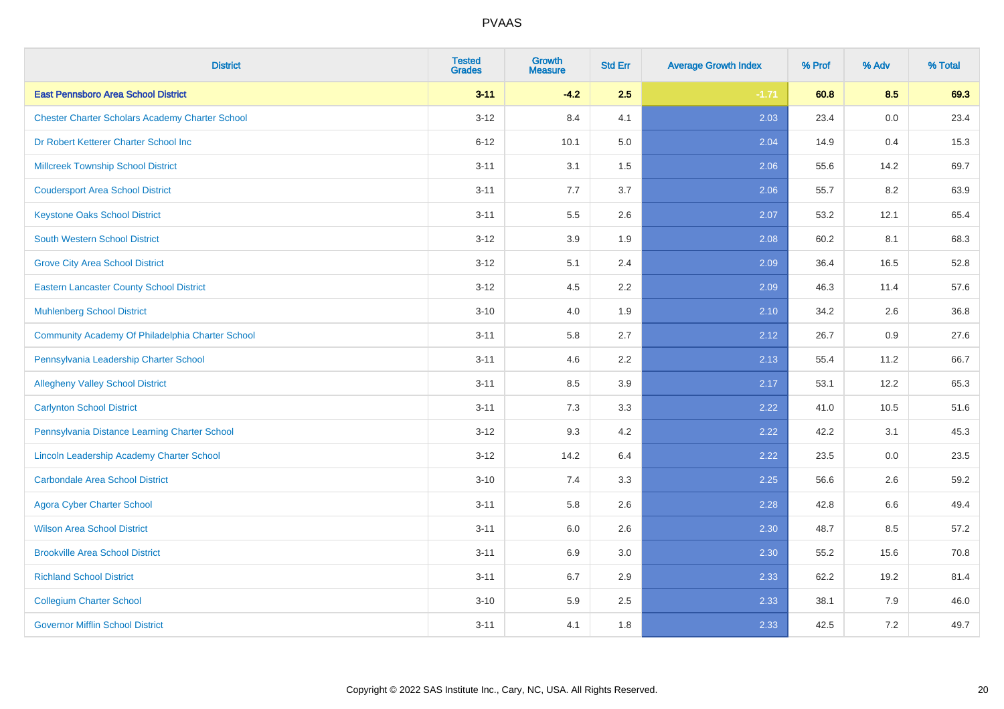| <b>District</b>                                        | <b>Tested</b><br><b>Grades</b> | <b>Growth</b><br><b>Measure</b> | <b>Std Err</b> | <b>Average Growth Index</b> | % Prof | % Adv   | % Total |
|--------------------------------------------------------|--------------------------------|---------------------------------|----------------|-----------------------------|--------|---------|---------|
| <b>East Pennsboro Area School District</b>             | $3 - 11$                       | $-4.2$                          | 2.5            | $-1.71$                     | 60.8   | 8.5     | 69.3    |
| <b>Chester Charter Scholars Academy Charter School</b> | $3 - 12$                       | 8.4                             | 4.1            | 2.03                        | 23.4   | 0.0     | 23.4    |
| Dr Robert Ketterer Charter School Inc                  | $6 - 12$                       | 10.1                            | 5.0            | 2.04                        | 14.9   | 0.4     | 15.3    |
| <b>Millcreek Township School District</b>              | $3 - 11$                       | 3.1                             | 1.5            | 2.06                        | 55.6   | 14.2    | 69.7    |
| <b>Coudersport Area School District</b>                | $3 - 11$                       | 7.7                             | 3.7            | 2.06                        | 55.7   | 8.2     | 63.9    |
| <b>Keystone Oaks School District</b>                   | $3 - 11$                       | 5.5                             | 2.6            | 2.07                        | 53.2   | 12.1    | 65.4    |
| <b>South Western School District</b>                   | $3 - 12$                       | 3.9                             | 1.9            | 2.08                        | 60.2   | 8.1     | 68.3    |
| <b>Grove City Area School District</b>                 | $3 - 12$                       | 5.1                             | 2.4            | 2.09                        | 36.4   | 16.5    | 52.8    |
| <b>Eastern Lancaster County School District</b>        | $3 - 12$                       | 4.5                             | 2.2            | 2.09                        | 46.3   | 11.4    | 57.6    |
| <b>Muhlenberg School District</b>                      | $3 - 10$                       | 4.0                             | 1.9            | 2.10                        | 34.2   | 2.6     | 36.8    |
| Community Academy Of Philadelphia Charter School       | $3 - 11$                       | 5.8                             | 2.7            | 2.12                        | 26.7   | 0.9     | 27.6    |
| Pennsylvania Leadership Charter School                 | $3 - 11$                       | 4.6                             | 2.2            | 2.13                        | 55.4   | 11.2    | 66.7    |
| <b>Allegheny Valley School District</b>                | $3 - 11$                       | 8.5                             | 3.9            | 2.17                        | 53.1   | 12.2    | 65.3    |
| <b>Carlynton School District</b>                       | $3 - 11$                       | 7.3                             | 3.3            | 2.22                        | 41.0   | 10.5    | 51.6    |
| Pennsylvania Distance Learning Charter School          | $3 - 12$                       | 9.3                             | 4.2            | 2.22                        | 42.2   | 3.1     | 45.3    |
| Lincoln Leadership Academy Charter School              | $3 - 12$                       | 14.2                            | 6.4            | 2.22                        | 23.5   | $0.0\,$ | 23.5    |
| <b>Carbondale Area School District</b>                 | $3 - 10$                       | 7.4                             | 3.3            | 2.25                        | 56.6   | 2.6     | 59.2    |
| <b>Agora Cyber Charter School</b>                      | $3 - 11$                       | 5.8                             | 2.6            | 2.28                        | 42.8   | 6.6     | 49.4    |
| <b>Wilson Area School District</b>                     | $3 - 11$                       | 6.0                             | 2.6            | 2.30                        | 48.7   | 8.5     | 57.2    |
| <b>Brookville Area School District</b>                 | $3 - 11$                       | 6.9                             | 3.0            | 2.30                        | 55.2   | 15.6    | 70.8    |
| <b>Richland School District</b>                        | $3 - 11$                       | 6.7                             | 2.9            | 2.33                        | 62.2   | 19.2    | 81.4    |
| <b>Collegium Charter School</b>                        | $3 - 10$                       | 5.9                             | 2.5            | 2.33                        | 38.1   | 7.9     | 46.0    |
| <b>Governor Mifflin School District</b>                | $3 - 11$                       | 4.1                             | 1.8            | 2.33                        | 42.5   | 7.2     | 49.7    |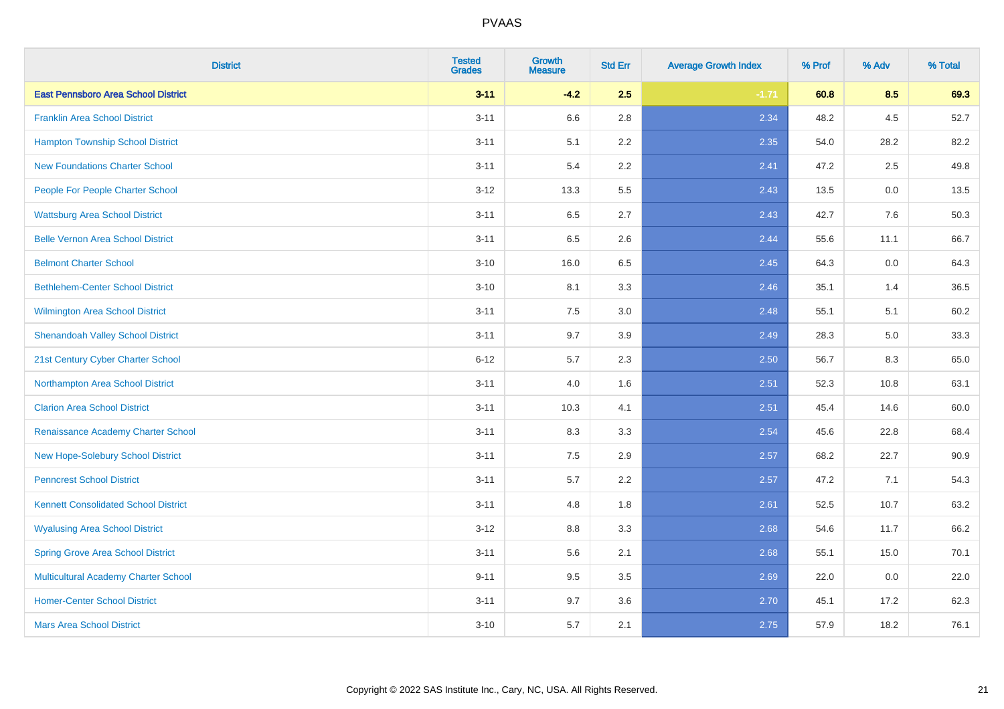| <b>District</b>                             | <b>Tested</b><br><b>Grades</b> | <b>Growth</b><br><b>Measure</b> | <b>Std Err</b> | <b>Average Growth Index</b> | % Prof | % Adv   | % Total |
|---------------------------------------------|--------------------------------|---------------------------------|----------------|-----------------------------|--------|---------|---------|
| <b>East Pennsboro Area School District</b>  | $3 - 11$                       | $-4.2$                          | 2.5            | $-1.71$                     | 60.8   | 8.5     | 69.3    |
| <b>Franklin Area School District</b>        | $3 - 11$                       | 6.6                             | 2.8            | 2.34                        | 48.2   | $4.5\,$ | 52.7    |
| <b>Hampton Township School District</b>     | $3 - 11$                       | 5.1                             | 2.2            | 2.35                        | 54.0   | 28.2    | 82.2    |
| <b>New Foundations Charter School</b>       | $3 - 11$                       | 5.4                             | 2.2            | 2.41                        | 47.2   | 2.5     | 49.8    |
| People For People Charter School            | $3 - 12$                       | 13.3                            | 5.5            | 2.43                        | 13.5   | 0.0     | 13.5    |
| <b>Wattsburg Area School District</b>       | $3 - 11$                       | 6.5                             | 2.7            | 2.43                        | 42.7   | 7.6     | 50.3    |
| <b>Belle Vernon Area School District</b>    | $3 - 11$                       | 6.5                             | 2.6            | 2.44                        | 55.6   | 11.1    | 66.7    |
| <b>Belmont Charter School</b>               | $3 - 10$                       | 16.0                            | 6.5            | 2.45                        | 64.3   | 0.0     | 64.3    |
| <b>Bethlehem-Center School District</b>     | $3 - 10$                       | 8.1                             | 3.3            | 2.46                        | 35.1   | 1.4     | 36.5    |
| <b>Wilmington Area School District</b>      | $3 - 11$                       | 7.5                             | 3.0            | 2.48                        | 55.1   | 5.1     | 60.2    |
| <b>Shenandoah Valley School District</b>    | $3 - 11$                       | 9.7                             | 3.9            | 2.49                        | 28.3   | 5.0     | 33.3    |
| 21st Century Cyber Charter School           | $6 - 12$                       | 5.7                             | 2.3            | 2.50                        | 56.7   | 8.3     | 65.0    |
| Northampton Area School District            | $3 - 11$                       | 4.0                             | 1.6            | 2.51                        | 52.3   | 10.8    | 63.1    |
| <b>Clarion Area School District</b>         | $3 - 11$                       | 10.3                            | 4.1            | 2.51                        | 45.4   | 14.6    | 60.0    |
| Renaissance Academy Charter School          | $3 - 11$                       | 8.3                             | 3.3            | 2.54                        | 45.6   | 22.8    | 68.4    |
| New Hope-Solebury School District           | $3 - 11$                       | 7.5                             | 2.9            | 2.57                        | 68.2   | 22.7    | 90.9    |
| <b>Penncrest School District</b>            | $3 - 11$                       | 5.7                             | 2.2            | 2.57                        | 47.2   | 7.1     | 54.3    |
| <b>Kennett Consolidated School District</b> | $3 - 11$                       | 4.8                             | 1.8            | 2.61                        | 52.5   | 10.7    | 63.2    |
| <b>Wyalusing Area School District</b>       | $3 - 12$                       | 8.8                             | 3.3            | 2.68                        | 54.6   | 11.7    | 66.2    |
| <b>Spring Grove Area School District</b>    | $3 - 11$                       | 5.6                             | 2.1            | 2.68                        | 55.1   | 15.0    | 70.1    |
| <b>Multicultural Academy Charter School</b> | $9 - 11$                       | 9.5                             | 3.5            | 2.69                        | 22.0   | 0.0     | 22.0    |
| <b>Homer-Center School District</b>         | $3 - 11$                       | 9.7                             | 3.6            | 2.70                        | 45.1   | 17.2    | 62.3    |
| <b>Mars Area School District</b>            | $3 - 10$                       | 5.7                             | 2.1            | 2.75                        | 57.9   | 18.2    | 76.1    |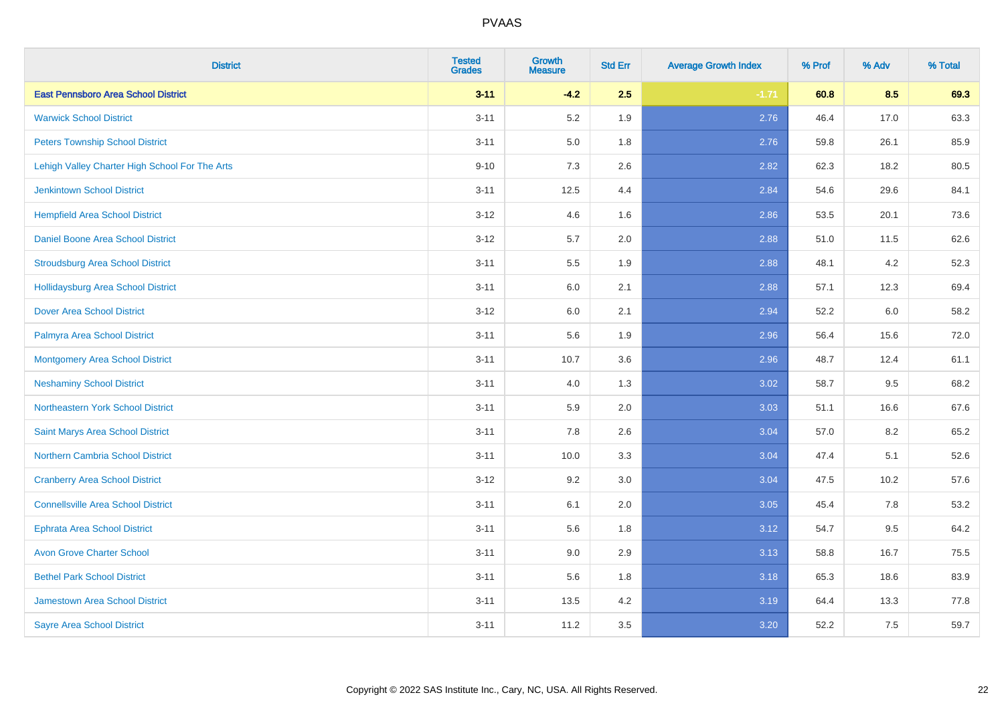| <b>District</b>                                | <b>Tested</b><br><b>Grades</b> | <b>Growth</b><br><b>Measure</b> | <b>Std Err</b> | <b>Average Growth Index</b> | % Prof | % Adv | % Total |
|------------------------------------------------|--------------------------------|---------------------------------|----------------|-----------------------------|--------|-------|---------|
| <b>East Pennsboro Area School District</b>     | $3 - 11$                       | $-4.2$                          | 2.5            | $-1.71$                     | 60.8   | 8.5   | 69.3    |
| <b>Warwick School District</b>                 | $3 - 11$                       | 5.2                             | 1.9            | 2.76                        | 46.4   | 17.0  | 63.3    |
| <b>Peters Township School District</b>         | $3 - 11$                       | 5.0                             | 1.8            | 2.76                        | 59.8   | 26.1  | 85.9    |
| Lehigh Valley Charter High School For The Arts | $9 - 10$                       | $7.3$                           | 2.6            | 2.82                        | 62.3   | 18.2  | 80.5    |
| <b>Jenkintown School District</b>              | $3 - 11$                       | 12.5                            | 4.4            | 2.84                        | 54.6   | 29.6  | 84.1    |
| <b>Hempfield Area School District</b>          | $3 - 12$                       | 4.6                             | 1.6            | 2.86                        | 53.5   | 20.1  | 73.6    |
| Daniel Boone Area School District              | $3 - 12$                       | 5.7                             | 2.0            | 2.88                        | 51.0   | 11.5  | 62.6    |
| <b>Stroudsburg Area School District</b>        | $3 - 11$                       | $5.5\,$                         | 1.9            | 2.88                        | 48.1   | 4.2   | 52.3    |
| <b>Hollidaysburg Area School District</b>      | $3 - 11$                       | 6.0                             | 2.1            | 2.88                        | 57.1   | 12.3  | 69.4    |
| <b>Dover Area School District</b>              | $3 - 12$                       | 6.0                             | 2.1            | 2.94                        | 52.2   | 6.0   | 58.2    |
| Palmyra Area School District                   | $3 - 11$                       | 5.6                             | 1.9            | 2.96                        | 56.4   | 15.6  | 72.0    |
| <b>Montgomery Area School District</b>         | $3 - 11$                       | 10.7                            | 3.6            | 2.96                        | 48.7   | 12.4  | 61.1    |
| <b>Neshaminy School District</b>               | $3 - 11$                       | 4.0                             | 1.3            | 3.02                        | 58.7   | 9.5   | 68.2    |
| Northeastern York School District              | $3 - 11$                       | 5.9                             | 2.0            | 3.03                        | 51.1   | 16.6  | 67.6    |
| Saint Marys Area School District               | $3 - 11$                       | 7.8                             | 2.6            | 3.04                        | 57.0   | 8.2   | 65.2    |
| <b>Northern Cambria School District</b>        | $3 - 11$                       | 10.0                            | 3.3            | 3.04                        | 47.4   | 5.1   | 52.6    |
| <b>Cranberry Area School District</b>          | $3 - 12$                       | 9.2                             | 3.0            | 3.04                        | 47.5   | 10.2  | 57.6    |
| <b>Connellsville Area School District</b>      | $3 - 11$                       | 6.1                             | 2.0            | 3.05                        | 45.4   | 7.8   | 53.2    |
| <b>Ephrata Area School District</b>            | $3 - 11$                       | 5.6                             | 1.8            | 3.12                        | 54.7   | 9.5   | 64.2    |
| <b>Avon Grove Charter School</b>               | $3 - 11$                       | 9.0                             | 2.9            | 3.13                        | 58.8   | 16.7  | 75.5    |
| <b>Bethel Park School District</b>             | $3 - 11$                       | 5.6                             | 1.8            | 3.18                        | 65.3   | 18.6  | 83.9    |
| Jamestown Area School District                 | $3 - 11$                       | 13.5                            | 4.2            | 3.19                        | 64.4   | 13.3  | 77.8    |
| <b>Sayre Area School District</b>              | $3 - 11$                       | 11.2                            | 3.5            | 3.20                        | 52.2   | 7.5   | 59.7    |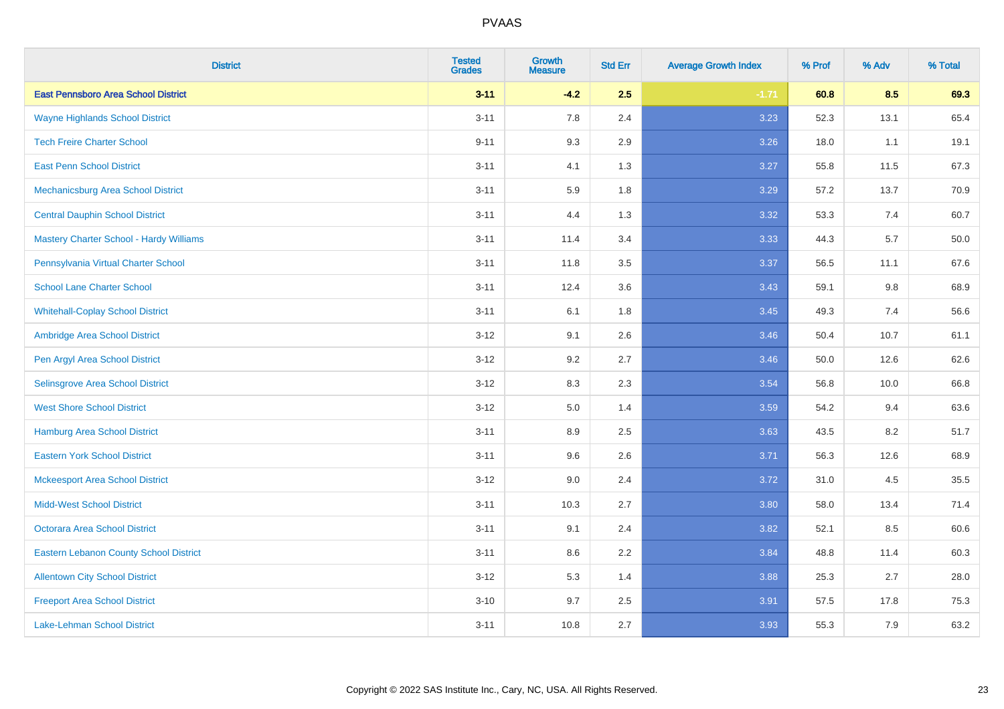| <b>District</b>                                | <b>Tested</b><br><b>Grades</b> | <b>Growth</b><br><b>Measure</b> | <b>Std Err</b> | <b>Average Growth Index</b> | % Prof | % Adv | % Total |
|------------------------------------------------|--------------------------------|---------------------------------|----------------|-----------------------------|--------|-------|---------|
| <b>East Pennsboro Area School District</b>     | $3 - 11$                       | $-4.2$                          | 2.5            | $-1.71$                     | 60.8   | 8.5   | 69.3    |
| <b>Wayne Highlands School District</b>         | $3 - 11$                       | 7.8                             | 2.4            | 3.23                        | 52.3   | 13.1  | 65.4    |
| <b>Tech Freire Charter School</b>              | $9 - 11$                       | 9.3                             | 2.9            | 3.26                        | 18.0   | 1.1   | 19.1    |
| <b>East Penn School District</b>               | $3 - 11$                       | 4.1                             | 1.3            | 3.27                        | 55.8   | 11.5  | 67.3    |
| Mechanicsburg Area School District             | $3 - 11$                       | 5.9                             | 1.8            | 3.29                        | 57.2   | 13.7  | 70.9    |
| <b>Central Dauphin School District</b>         | $3 - 11$                       | 4.4                             | 1.3            | 3.32                        | 53.3   | 7.4   | 60.7    |
| <b>Mastery Charter School - Hardy Williams</b> | $3 - 11$                       | 11.4                            | 3.4            | 3.33                        | 44.3   | 5.7   | 50.0    |
| Pennsylvania Virtual Charter School            | $3 - 11$                       | 11.8                            | 3.5            | 3.37                        | 56.5   | 11.1  | 67.6    |
| <b>School Lane Charter School</b>              | $3 - 11$                       | 12.4                            | 3.6            | 3.43                        | 59.1   | 9.8   | 68.9    |
| <b>Whitehall-Coplay School District</b>        | $3 - 11$                       | 6.1                             | 1.8            | 3.45                        | 49.3   | 7.4   | 56.6    |
| Ambridge Area School District                  | $3 - 12$                       | 9.1                             | 2.6            | 3.46                        | 50.4   | 10.7  | 61.1    |
| Pen Argyl Area School District                 | $3 - 12$                       | 9.2                             | 2.7            | 3.46                        | 50.0   | 12.6  | 62.6    |
| Selinsgrove Area School District               | $3 - 12$                       | 8.3                             | 2.3            | 3.54                        | 56.8   | 10.0  | 66.8    |
| <b>West Shore School District</b>              | $3 - 12$                       | 5.0                             | 1.4            | 3.59                        | 54.2   | 9.4   | 63.6    |
| <b>Hamburg Area School District</b>            | $3 - 11$                       | 8.9                             | 2.5            | 3.63                        | 43.5   | 8.2   | 51.7    |
| <b>Eastern York School District</b>            | $3 - 11$                       | 9.6                             | 2.6            | 3.71                        | 56.3   | 12.6  | 68.9    |
| <b>Mckeesport Area School District</b>         | $3 - 12$                       | 9.0                             | 2.4            | 3.72                        | 31.0   | 4.5   | 35.5    |
| <b>Midd-West School District</b>               | $3 - 11$                       | 10.3                            | 2.7            | 3.80                        | 58.0   | 13.4  | 71.4    |
| <b>Octorara Area School District</b>           | $3 - 11$                       | 9.1                             | 2.4            | 3.82                        | 52.1   | 8.5   | 60.6    |
| <b>Eastern Lebanon County School District</b>  | $3 - 11$                       | 8.6                             | 2.2            | 3.84                        | 48.8   | 11.4  | 60.3    |
| <b>Allentown City School District</b>          | $3 - 12$                       | 5.3                             | 1.4            | 3.88                        | 25.3   | 2.7   | 28.0    |
| <b>Freeport Area School District</b>           | $3 - 10$                       | 9.7                             | 2.5            | 3.91                        | 57.5   | 17.8  | 75.3    |
| <b>Lake-Lehman School District</b>             | $3 - 11$                       | 10.8                            | 2.7            | 3.93                        | 55.3   | 7.9   | 63.2    |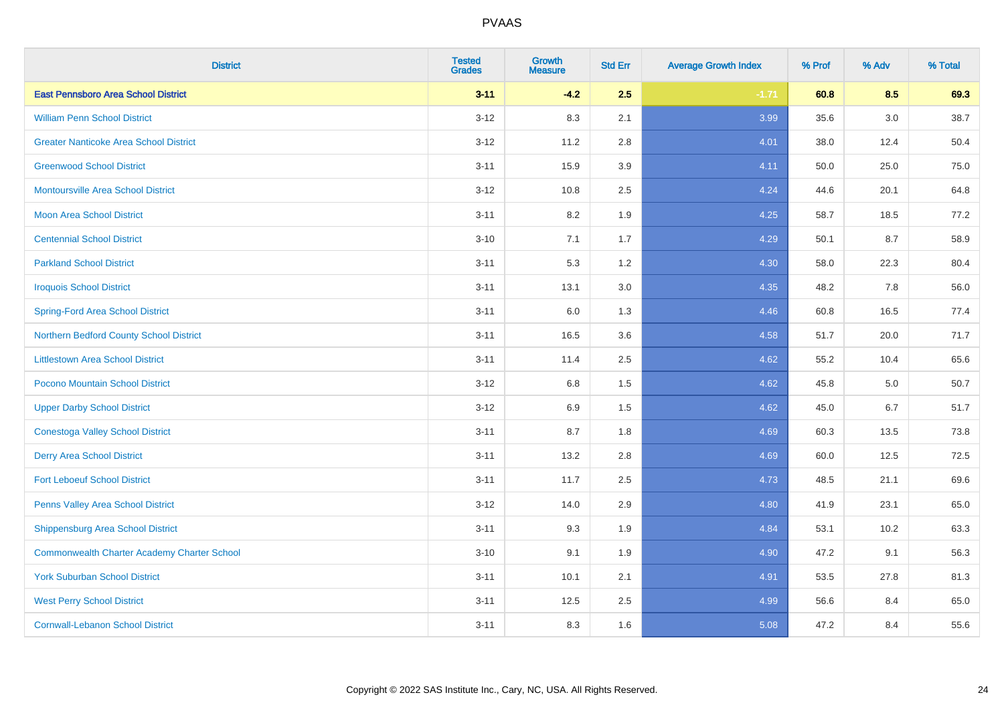| <b>District</b>                                    | <b>Tested</b><br><b>Grades</b> | <b>Growth</b><br><b>Measure</b> | <b>Std Err</b> | <b>Average Growth Index</b> | % Prof | % Adv | % Total |
|----------------------------------------------------|--------------------------------|---------------------------------|----------------|-----------------------------|--------|-------|---------|
| <b>East Pennsboro Area School District</b>         | $3 - 11$                       | $-4.2$                          | 2.5            | $-1.71$                     | 60.8   | 8.5   | 69.3    |
| <b>William Penn School District</b>                | $3 - 12$                       | 8.3                             | 2.1            | 3.99                        | 35.6   | 3.0   | 38.7    |
| <b>Greater Nanticoke Area School District</b>      | $3 - 12$                       | 11.2                            | 2.8            | 4.01                        | 38.0   | 12.4  | 50.4    |
| <b>Greenwood School District</b>                   | $3 - 11$                       | 15.9                            | 3.9            | 4.11                        | 50.0   | 25.0  | 75.0    |
| <b>Montoursville Area School District</b>          | $3 - 12$                       | 10.8                            | 2.5            | 4.24                        | 44.6   | 20.1  | 64.8    |
| Moon Area School District                          | $3 - 11$                       | 8.2                             | 1.9            | 4.25                        | 58.7   | 18.5  | 77.2    |
| <b>Centennial School District</b>                  | $3 - 10$                       | 7.1                             | 1.7            | 4.29                        | 50.1   | 8.7   | 58.9    |
| <b>Parkland School District</b>                    | $3 - 11$                       | 5.3                             | 1.2            | 4.30                        | 58.0   | 22.3  | 80.4    |
| <b>Iroquois School District</b>                    | $3 - 11$                       | 13.1                            | 3.0            | 4.35                        | 48.2   | 7.8   | 56.0    |
| <b>Spring-Ford Area School District</b>            | $3 - 11$                       | 6.0                             | 1.3            | 4.46                        | 60.8   | 16.5  | 77.4    |
| Northern Bedford County School District            | $3 - 11$                       | 16.5                            | 3.6            | 4.58                        | 51.7   | 20.0  | 71.7    |
| <b>Littlestown Area School District</b>            | $3 - 11$                       | 11.4                            | 2.5            | 4.62                        | 55.2   | 10.4  | 65.6    |
| Pocono Mountain School District                    | $3 - 12$                       | $6.8\,$                         | 1.5            | 4.62                        | 45.8   | 5.0   | 50.7    |
| <b>Upper Darby School District</b>                 | $3 - 12$                       | 6.9                             | 1.5            | 4.62                        | 45.0   | 6.7   | 51.7    |
| <b>Conestoga Valley School District</b>            | $3 - 11$                       | 8.7                             | 1.8            | 4.69                        | 60.3   | 13.5  | 73.8    |
| <b>Derry Area School District</b>                  | $3 - 11$                       | 13.2                            | 2.8            | 4.69                        | 60.0   | 12.5  | 72.5    |
| <b>Fort Leboeuf School District</b>                | $3 - 11$                       | 11.7                            | 2.5            | 4.73                        | 48.5   | 21.1  | 69.6    |
| Penns Valley Area School District                  | $3 - 12$                       | 14.0                            | 2.9            | 4.80                        | 41.9   | 23.1  | 65.0    |
| <b>Shippensburg Area School District</b>           | $3 - 11$                       | 9.3                             | 1.9            | 4.84                        | 53.1   | 10.2  | 63.3    |
| <b>Commonwealth Charter Academy Charter School</b> | $3 - 10$                       | 9.1                             | 1.9            | 4.90                        | 47.2   | 9.1   | 56.3    |
| <b>York Suburban School District</b>               | $3 - 11$                       | 10.1                            | 2.1            | 4.91                        | 53.5   | 27.8  | 81.3    |
| <b>West Perry School District</b>                  | $3 - 11$                       | 12.5                            | 2.5            | 4.99                        | 56.6   | 8.4   | 65.0    |
| <b>Cornwall-Lebanon School District</b>            | $3 - 11$                       | 8.3                             | 1.6            | 5.08                        | 47.2   | 8.4   | 55.6    |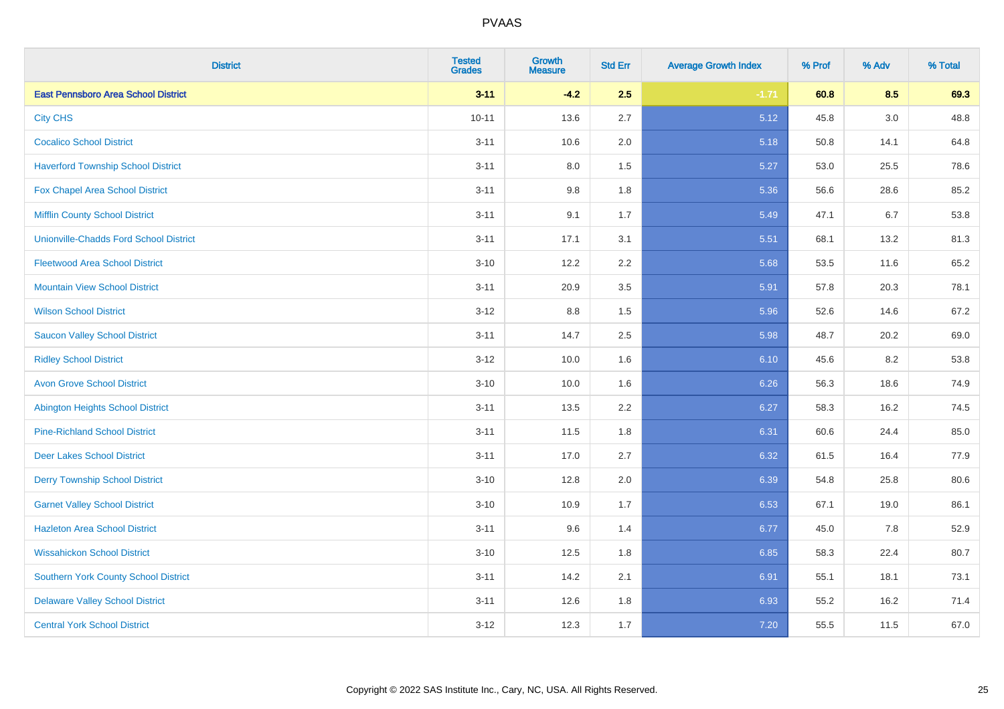| <b>District</b>                               | <b>Tested</b><br><b>Grades</b> | <b>Growth</b><br><b>Measure</b> | <b>Std Err</b> | <b>Average Growth Index</b> | % Prof | % Adv | % Total |
|-----------------------------------------------|--------------------------------|---------------------------------|----------------|-----------------------------|--------|-------|---------|
| <b>East Pennsboro Area School District</b>    | $3 - 11$                       | $-4.2$                          | 2.5            | $-1.71$                     | 60.8   | 8.5   | 69.3    |
| <b>City CHS</b>                               | $10 - 11$                      | 13.6                            | 2.7            | 5.12                        | 45.8   | 3.0   | 48.8    |
| <b>Cocalico School District</b>               | $3 - 11$                       | 10.6                            | 2.0            | 5.18                        | 50.8   | 14.1  | 64.8    |
| <b>Haverford Township School District</b>     | $3 - 11$                       | $8.0\,$                         | 1.5            | 5.27                        | 53.0   | 25.5  | 78.6    |
| Fox Chapel Area School District               | $3 - 11$                       | 9.8                             | 1.8            | 5.36                        | 56.6   | 28.6  | 85.2    |
| <b>Mifflin County School District</b>         | $3 - 11$                       | 9.1                             | 1.7            | 5.49                        | 47.1   | 6.7   | 53.8    |
| <b>Unionville-Chadds Ford School District</b> | $3 - 11$                       | 17.1                            | 3.1            | 5.51                        | 68.1   | 13.2  | 81.3    |
| <b>Fleetwood Area School District</b>         | $3 - 10$                       | 12.2                            | 2.2            | 5.68                        | 53.5   | 11.6  | 65.2    |
| <b>Mountain View School District</b>          | $3 - 11$                       | 20.9                            | 3.5            | 5.91                        | 57.8   | 20.3  | 78.1    |
| <b>Wilson School District</b>                 | $3-12$                         | 8.8                             | 1.5            | 5.96                        | 52.6   | 14.6  | 67.2    |
| <b>Saucon Valley School District</b>          | $3 - 11$                       | 14.7                            | 2.5            | 5.98                        | 48.7   | 20.2  | 69.0    |
| <b>Ridley School District</b>                 | $3 - 12$                       | 10.0                            | 1.6            | 6.10                        | 45.6   | 8.2   | 53.8    |
| <b>Avon Grove School District</b>             | $3 - 10$                       | 10.0                            | 1.6            | 6.26                        | 56.3   | 18.6  | 74.9    |
| <b>Abington Heights School District</b>       | $3 - 11$                       | 13.5                            | 2.2            | 6.27                        | 58.3   | 16.2  | 74.5    |
| <b>Pine-Richland School District</b>          | $3 - 11$                       | 11.5                            | 1.8            | 6.31                        | 60.6   | 24.4  | 85.0    |
| <b>Deer Lakes School District</b>             | $3 - 11$                       | 17.0                            | 2.7            | 6.32                        | 61.5   | 16.4  | 77.9    |
| <b>Derry Township School District</b>         | $3 - 10$                       | 12.8                            | 2.0            | 6.39                        | 54.8   | 25.8  | 80.6    |
| <b>Garnet Valley School District</b>          | $3 - 10$                       | 10.9                            | 1.7            | 6.53                        | 67.1   | 19.0  | 86.1    |
| <b>Hazleton Area School District</b>          | $3 - 11$                       | 9.6                             | 1.4            | 6.77                        | 45.0   | 7.8   | 52.9    |
| <b>Wissahickon School District</b>            | $3 - 10$                       | 12.5                            | 1.8            | 6.85                        | 58.3   | 22.4  | 80.7    |
| <b>Southern York County School District</b>   | $3 - 11$                       | 14.2                            | 2.1            | 6.91                        | 55.1   | 18.1  | 73.1    |
| <b>Delaware Valley School District</b>        | $3 - 11$                       | 12.6                            | 1.8            | 6.93                        | 55.2   | 16.2  | 71.4    |
| <b>Central York School District</b>           | $3-12$                         | 12.3                            | 1.7            | 7.20                        | 55.5   | 11.5  | 67.0    |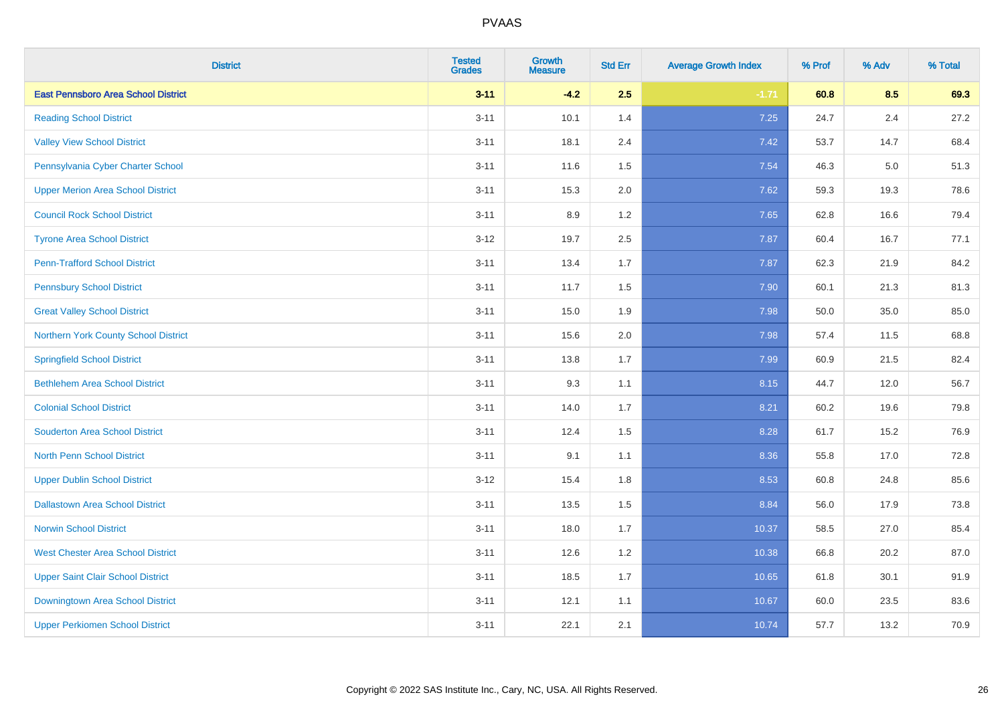| <b>District</b>                            | <b>Tested</b><br><b>Grades</b> | <b>Growth</b><br><b>Measure</b> | <b>Std Err</b> | <b>Average Growth Index</b> | % Prof | % Adv   | % Total |
|--------------------------------------------|--------------------------------|---------------------------------|----------------|-----------------------------|--------|---------|---------|
| <b>East Pennsboro Area School District</b> | $3 - 11$                       | $-4.2$                          | 2.5            | $-1.71$                     | 60.8   | 8.5     | 69.3    |
| <b>Reading School District</b>             | $3 - 11$                       | 10.1                            | 1.4            | 7.25                        | 24.7   | $2.4\,$ | 27.2    |
| <b>Valley View School District</b>         | $3 - 11$                       | 18.1                            | 2.4            | 7.42                        | 53.7   | 14.7    | 68.4    |
| Pennsylvania Cyber Charter School          | $3 - 11$                       | 11.6                            | 1.5            | 7.54                        | 46.3   | 5.0     | 51.3    |
| <b>Upper Merion Area School District</b>   | $3 - 11$                       | 15.3                            | 2.0            | 7.62                        | 59.3   | 19.3    | 78.6    |
| <b>Council Rock School District</b>        | $3 - 11$                       | 8.9                             | 1.2            | 7.65                        | 62.8   | 16.6    | 79.4    |
| <b>Tyrone Area School District</b>         | $3 - 12$                       | 19.7                            | 2.5            | 7.87                        | 60.4   | 16.7    | 77.1    |
| <b>Penn-Trafford School District</b>       | $3 - 11$                       | 13.4                            | 1.7            | 7.87                        | 62.3   | 21.9    | 84.2    |
| <b>Pennsbury School District</b>           | $3 - 11$                       | 11.7                            | 1.5            | 7.90                        | 60.1   | 21.3    | 81.3    |
| <b>Great Valley School District</b>        | $3 - 11$                       | 15.0                            | 1.9            | 7.98                        | 50.0   | 35.0    | 85.0    |
| Northern York County School District       | $3 - 11$                       | 15.6                            | 2.0            | 7.98                        | 57.4   | 11.5    | 68.8    |
| <b>Springfield School District</b>         | $3 - 11$                       | 13.8                            | 1.7            | 7.99                        | 60.9   | 21.5    | 82.4    |
| <b>Bethlehem Area School District</b>      | $3 - 11$                       | 9.3                             | 1.1            | 8.15                        | 44.7   | 12.0    | 56.7    |
| <b>Colonial School District</b>            | $3 - 11$                       | 14.0                            | 1.7            | 8.21                        | 60.2   | 19.6    | 79.8    |
| <b>Souderton Area School District</b>      | $3 - 11$                       | 12.4                            | 1.5            | 8.28                        | 61.7   | 15.2    | 76.9    |
| <b>North Penn School District</b>          | $3 - 11$                       | 9.1                             | 1.1            | 8.36                        | 55.8   | 17.0    | 72.8    |
| <b>Upper Dublin School District</b>        | $3 - 12$                       | 15.4                            | 1.8            | 8.53                        | 60.8   | 24.8    | 85.6    |
| <b>Dallastown Area School District</b>     | $3 - 11$                       | 13.5                            | 1.5            | 8.84                        | 56.0   | 17.9    | 73.8    |
| <b>Norwin School District</b>              | $3 - 11$                       | 18.0                            | 1.7            | 10.37                       | 58.5   | 27.0    | 85.4    |
| <b>West Chester Area School District</b>   | $3 - 11$                       | 12.6                            | 1.2            | 10.38                       | 66.8   | 20.2    | 87.0    |
| <b>Upper Saint Clair School District</b>   | $3 - 11$                       | 18.5                            | 1.7            | 10.65                       | 61.8   | 30.1    | 91.9    |
| Downingtown Area School District           | $3 - 11$                       | 12.1                            | 1.1            | 10.67                       | 60.0   | 23.5    | 83.6    |
| <b>Upper Perkiomen School District</b>     | $3 - 11$                       | 22.1                            | 2.1            | 10.74                       | 57.7   | 13.2    | 70.9    |